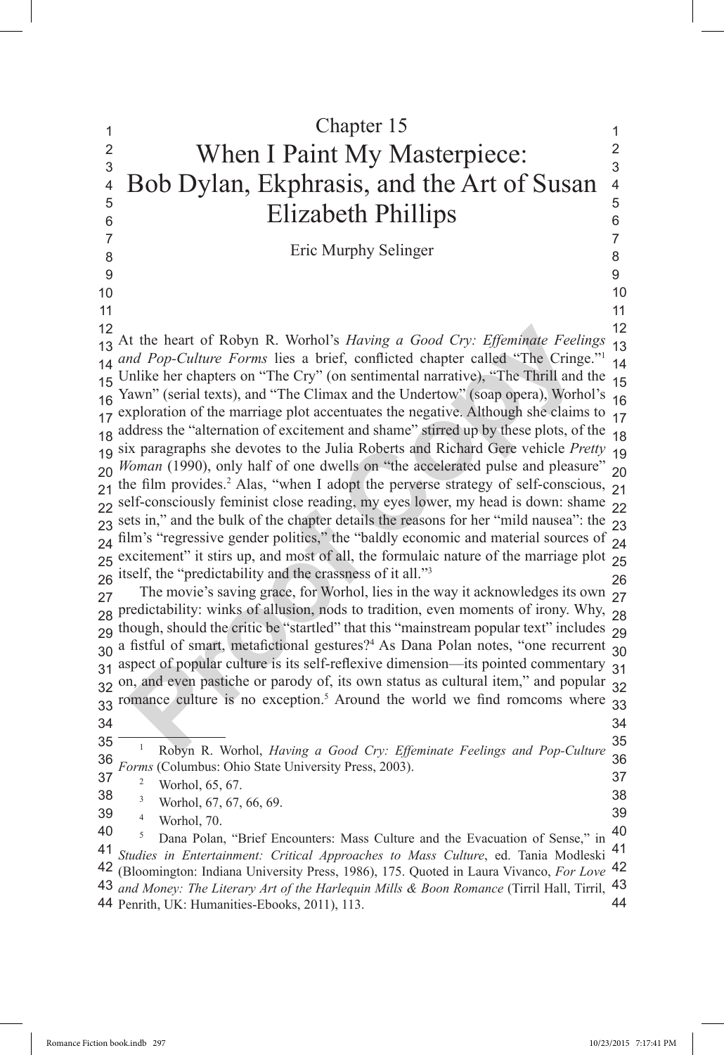| 1<br>2<br>3<br>4<br>5<br>6<br>7                                                                                                                               | Chapter 15<br>When I Paint My Masterpiece:<br>Bob Dylan, Ekphrasis, and the Art of Susan<br>Elizabeth Phillips                                                                                                                                                                                                                                                                                                                                                                                                                                                                                                                                                                                                                                                                                                                                                                                                                                                                                                                                                                                                                                                                                                                                                                                                                                                                                                                                                                                                                                                                                                                                                                                                                                                                                                                                                                                                                                                                                                                                                                                                                                               | 1<br>2<br>3<br>4<br>5<br>6<br>7                                                                   |
|---------------------------------------------------------------------------------------------------------------------------------------------------------------|--------------------------------------------------------------------------------------------------------------------------------------------------------------------------------------------------------------------------------------------------------------------------------------------------------------------------------------------------------------------------------------------------------------------------------------------------------------------------------------------------------------------------------------------------------------------------------------------------------------------------------------------------------------------------------------------------------------------------------------------------------------------------------------------------------------------------------------------------------------------------------------------------------------------------------------------------------------------------------------------------------------------------------------------------------------------------------------------------------------------------------------------------------------------------------------------------------------------------------------------------------------------------------------------------------------------------------------------------------------------------------------------------------------------------------------------------------------------------------------------------------------------------------------------------------------------------------------------------------------------------------------------------------------------------------------------------------------------------------------------------------------------------------------------------------------------------------------------------------------------------------------------------------------------------------------------------------------------------------------------------------------------------------------------------------------------------------------------------------------------------------------------------------------|---------------------------------------------------------------------------------------------------|
| 8                                                                                                                                                             | Eric Murphy Selinger                                                                                                                                                                                                                                                                                                                                                                                                                                                                                                                                                                                                                                                                                                                                                                                                                                                                                                                                                                                                                                                                                                                                                                                                                                                                                                                                                                                                                                                                                                                                                                                                                                                                                                                                                                                                                                                                                                                                                                                                                                                                                                                                         | 8                                                                                                 |
| 9<br>10<br>11<br>12<br>14<br>15<br>16<br>17<br>18<br>19<br>20<br>21<br>22<br>23<br>24<br>26<br>27<br>29<br>30<br>31<br>34<br>35<br>36<br>37<br>38<br>39<br>40 | 13 At the heart of Robyn R. Worhol's Having a Good Cry: Effeminate Feelings<br>and Pop-Culture Forms lies a brief, conflicted chapter called "The Cringe."1<br>Unlike her chapters on "The Cry" (on sentimental narrative), "The Thrill and the<br>Yawn" (serial texts), and "The Climax and the Undertow" (soap opera), Worhol's<br>exploration of the marriage plot accentuates the negative. Although she claims to 17<br>address the "alternation of excitement and shame" stirred up by these plots, of the 18<br>six paragraphs she devotes to the Julia Roberts and Richard Gere vehicle Pretty 19<br><i>Woman</i> (1990), only half of one dwells on "the accelerated pulse and pleasure"<br>the film provides. <sup>2</sup> Alas, "when I adopt the perverse strategy of self-conscious, 21<br>self-consciously feminist close reading, my eyes lower, my head is down: shame 22<br>sets in," and the bulk of the chapter details the reasons for her "mild nausea": the 23<br>film's "regressive gender politics," the "baldly economic and material sources of $\frac{1}{24}$<br>$25$ excitement" it stirs up, and most of all, the formulaic nature of the marriage plot $25$<br>itself, the "predictability and the crassness of it all." <sup>3</sup><br>The movie's saving grace, for Worhol, lies in the way it acknowledges its own 27<br>28 predictability: winks of allusion, nods to tradition, even moments of irony. Why, 28<br>though, should the critic be "startled" that this "mainstream popular text" includes 29<br>a fistful of smart, metafictional gestures? <sup>4</sup> As Dana Polan notes, "one recurrent 30<br>aspect of popular culture is its self-reflexive dimension—its pointed commentary 31<br>32 on, and even pastiche or parody of, its own status as cultural item," and popular 32<br>33 romance culture is no exception. <sup>5</sup> Around the world we find romcoms where 33<br>Robyn R. Worhol, Having a Good Cry: Effeminate Feelings and Pop-Culture<br>Forms (Columbus: Ohio State University Press, 2003).<br>$\overline{c}$<br>Worhol, 65, 67.<br>3<br>Worhol, 67, 67, 66, 69.<br>4<br>Worhol, 70. | 9<br>10<br>11<br>12<br>13<br>14<br>15<br>16<br>20<br>26<br>34<br>35<br>36<br>37<br>38<br>39<br>40 |
| 41<br>42                                                                                                                                                      | 5<br>Dana Polan, "Brief Encounters: Mass Culture and the Evacuation of Sense," in<br>Studies in Entertainment: Critical Approaches to Mass Culture, ed. Tania Modleski<br>(Bloomington: Indiana University Press, 1986), 175. Quoted in Laura Vivanco, For Love<br>43 and Money: The Literary Art of the Harlequin Mills & Boon Romance (Tirril Hall, Tirril,                                                                                                                                                                                                                                                                                                                                                                                                                                                                                                                                                                                                                                                                                                                                                                                                                                                                                                                                                                                                                                                                                                                                                                                                                                                                                                                                                                                                                                                                                                                                                                                                                                                                                                                                                                                                | 41<br>42<br>43                                                                                    |

<sup>44</sup> Penrith, UK: Humanities-Ebooks, 2011), 113.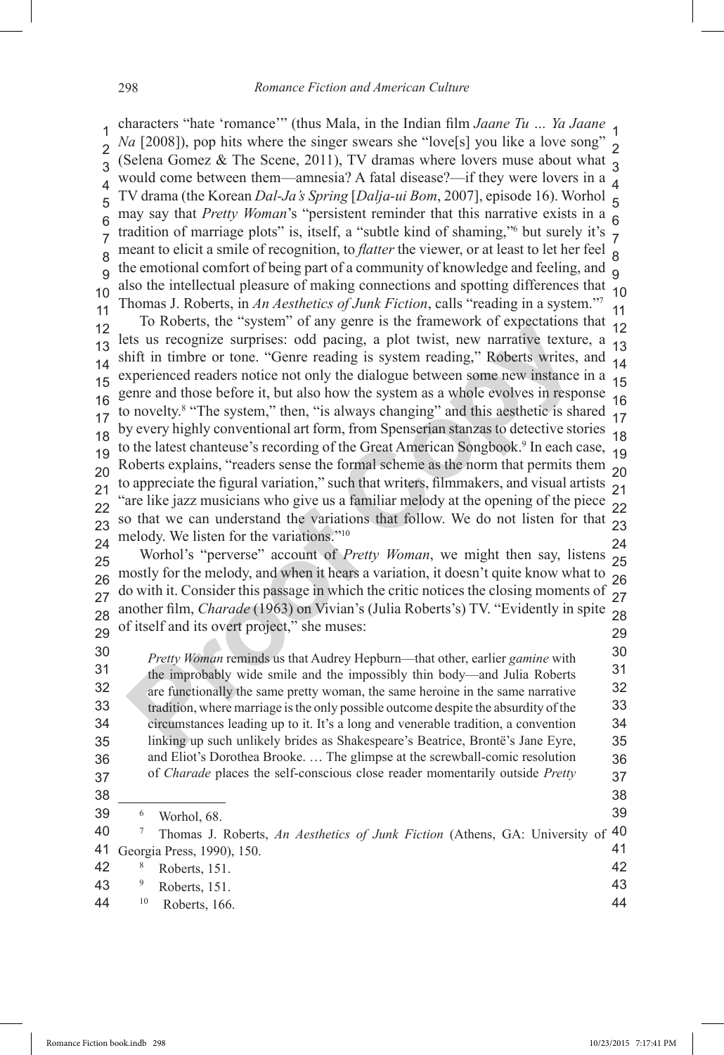$\overline{2}$   $\overline{Q}$  *Na* [2008]), pop hits where the singer swears she "love[s] you like a love song" 2 (Selena Gomez & The Scene, 2011), TV dramas where lovers muse about what  $\frac{3}{2}$ would come between them—amnesia? A fatal disease?—if they were lovers in a  $\frac{1}{4}$ 5 TV drama (the Korean *Dal-Ja's Spring* [*Dalja-ui Bom*, 2007], episode 16). Worhol may say that *Pretty Woman*'s "persistent reminder that this narrative exists in a  $\frac{1}{6}$ tradition of marriage plots" is, itself, a "subtle kind of shaming," but surely it's  $\frac{7}{1}$ meant to elicit a smile of recognition, to *flatter* the viewer, or at least to let her feel a also the intellectual pleasure of making connections and spotting differences that 10 To Roberts, the "system" of any genre is the framework of expectations that 12 lets us recognize surprises: odd pacing, a plot twist, new narrative texture, a 13 shift in timbre or tone. "Genre reading is system reading," Roberts writes, and 14 experienced readers notice not only the dialogue between some new instance in a 15 genre and those before it, but also how the system as a whole evolves in response 16 by every highly conventional art form, from Spenserian stanzas to detective stories 18 to the latest chanteuse's recording of the Great American Songbook.<sup>9</sup> In each case, 19 20<br>to appreciate the figural variation," such that writers, filmmakers, and visual artists 21  $\frac{21}{2}$  are like jazz musicians who give us a familiar melody at the opening of the piece  $\frac{22}{2}$  so that we can understand the variations that follow. We do not listen for that  $_{23}$  another film, *Charade* (1963) on Vivian's (Julia Roberts's) TV. "Evidently in spite 28 <sup>7</sup> Thomas J. Roberts, *An Aesthetics of Junk Fiction* (Athens, GA: University of <sup>40</sup> <sup>1</sup> to coloris, the "system" of any gener is the ratunewato or experiations it<br>at is us recognize surprises: odd pacing, a plot twist, new narrative texture,<br>hift in timbre or tone. "Genre reading is system reading," Rober characters "hate 'romance'" (thus Mala, in the Indian film *Jaane Tu … Ya Jaane*  the emotional comfort of being part of a community of knowledge and feeling, and  $\alpha$ Thomas J. Roberts, in *An Aesthetics of Junk Fiction*, calls "reading in a system."7 to novelty.<sup>8</sup> "The system," then, "is always changing" and this aesthetic is shared Roberts explains, "readers sense the formal scheme as the norm that permits them  $\frac{1}{20}$ melody. We listen for the variations."10 Worhol's "perverse" account of *Pretty Woman*, we might then say, listens mostly for the melody, and when it hears a variation, it doesn't quite know what to do with it. Consider this passage in which the critic notices the closing moments of of itself and its overt project," she muses: *Pretty Woman* reminds us that Audrey Hepburn—that other, earlier *gamine* with the improbably wide smile and the impossibly thin body—and Julia Roberts are functionally the same pretty woman, the same heroine in the same narrative tradition, where marriage is the only possible outcome despite the absurdity of the circumstances leading up to it. It's a long and venerable tradition, a convention linking up such unlikely brides as Shakespeare's Beatrice, Brontë's Jane Eyre, and Eliot's Dorothea Brooke. … The glimpse at the screwball-comic resolution of *Charade* places the self-conscious close reader momentarily outside *Pretty*  Worhol, 68. Georgia Press, 1990), 150. Roberts, 151. <sup>9</sup> Roberts, 151. Roberts, 166.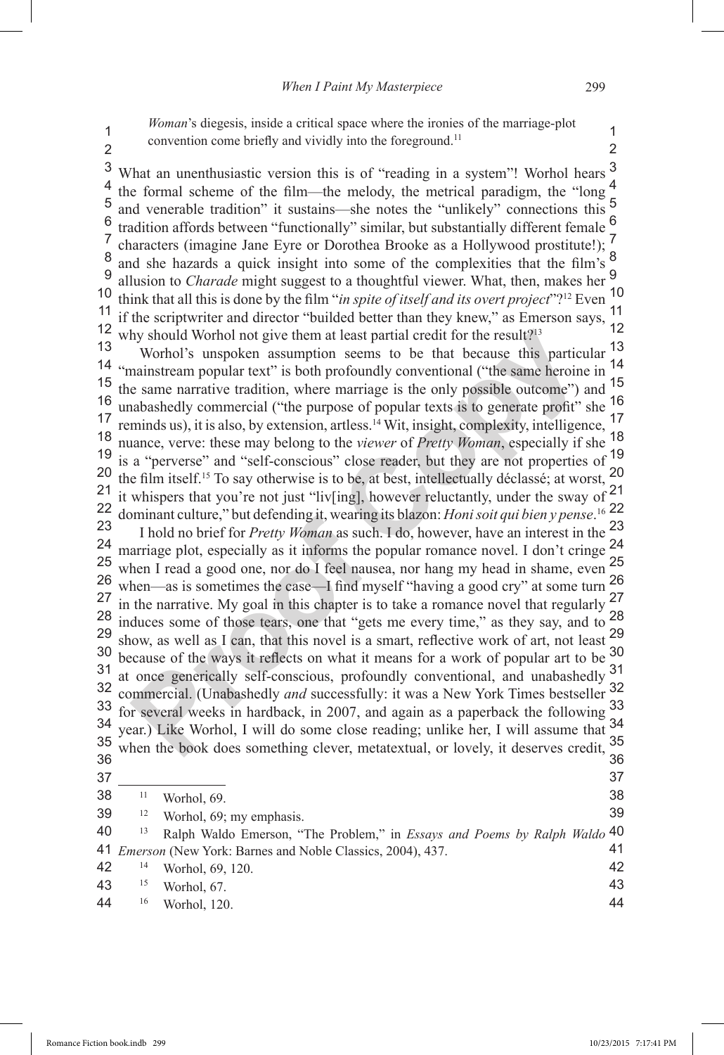*Woman*'s diegesis, inside a critical space where the ironies of the marriage-plot convention come briefly and vividly into the foreground.<sup>11</sup>

 $\overline{1}$  $\overline{2}$ 

123456789 123456789 3 What an unenthusiastic version this is of "reading in a system"! Worhol hears <sup>3</sup>  $\overline{4}$ the formal scheme of the film—the melody, the metrical paradigm, the "long 5 and venerable tradition" it sustains—she notes the "unlikely" connections this 6 tradition affords between "functionally" similar, but substantially different female  $\overline{7}$ characters (imagine Jane Eyre or Dorothea Brooke as a Hollywood prostitute!); 8 and she hazards a quick insight into some of the complexities that the film's 9 allusion to *Charade* might suggest to a thoughtful viewer. What, then, makes her 10 think that all this is done by the film "*in spite of itself and its overt project*"?<sup>12</sup> Even  $\frac{10}{11}$ 11 11 if the scriptwriter and director "builded better than they knew," as Emerson says, 12 12 why should Worhol not give them at least partial credit for the result?<sup>13</sup>

13 <sup>14</sup> "mainstream popular text" is both profoundly conventional ("the same heroine in 15 16 17 18 19 20 21 22 23 Worhol's unspoken assumption seems to be that because this particular <sup>13</sup> 14 15 unabashedly commercial ("the purpose of popular texts is to generate profit" she  $\frac{16}{17}$ 17 nuance, verve: these may belong to the *viewer* of *Pretty Woman*, especially if she <sup>18</sup> is a "perverse" and "self-conscious" close reader, but they are not properties of <sup>19</sup> 20 it whispers that you're not just "liv[ing], however reluctantly, under the sway of  $^{21}$ 22 dominant culture," but defending it, wearing its blazon: *Honi soit qui bien y pense* . 16 I hold no brief for *Pretty Woman* as such. I do, however, have an interest in the <sup>23</sup> the same narrative tradition, where marriage is the only possible outcome") and reminds us), it is also, by extension, artless.14 Wit, insight, complexity, intelligence, the film itself.15 To say otherwise is to be, at best, intellectually déclassé; at worst,

by should Worhol not give them at least partial credit for the result?<sup>13</sup><br>Worhol's unspoken assumption seems to be that because this particula<br>mainstream popular text" is both profoundly conventional ("the same heroine<br>e 24 25 26 27 28 29 30 31 32 33 34 35 36 37 marriage plot, especially as it informs the popular romance novel. I don't cringe  $^{24}$ when I read a good one, nor do I feel nausea, nor hang my head in shame, even <sup>25</sup> 26 in the narrative. My goal in this chapter is to take a romance novel that regularly  $\frac{27}{22}$ induces some of those tears, one that "gets me every time," as they say, and to 28 29 30 31 32 33 for several weeks in hardback, in 2007, and again as a paperback the following  $\frac{33}{2}$ <br>year) Like Worbol, Lwill do some close reading: unlike her Lwill assume that  $34$ 35 when the book does something clever, metatextual, or lovely, it deserves credit, 33 37 when—as is sometimes the case— I find myself "having a good cry" at some turn show, as well as I can, that this novel is a smart, reflective work of art, not least because of the ways it reflects on what it means for a work of popular art to be at once generically self-conscious, profoundly conventional, and unabashedly commercial. ( Unabashedly *and* successfully: it was a New York Times bestseller year.) Like Worhol, I will do some close reading; unlike her, I will assume that

| 38 | 11 | Worhol, 69.                                                                                    | 38 |
|----|----|------------------------------------------------------------------------------------------------|----|
| 39 | 12 | Worhol, 69; my emphasis.                                                                       | 39 |
| 40 |    | <sup>13</sup> Ralph Waldo Emerson, "The Problem," in <i>Essays and Poems by Ralph Waldo</i> 40 |    |
|    |    | 41 <i>Emerson</i> (New York: Barnes and Noble Classics, 2004), 437.                            | 41 |
| 42 | 14 | Worhol. 69, 120.                                                                               | 42 |
| 43 | 15 | Worhol, 67.                                                                                    | 43 |
| 44 | 16 | Worhol, 120.                                                                                   | 44 |

 $\overline{1}$ 

 $\mathfrak{p}$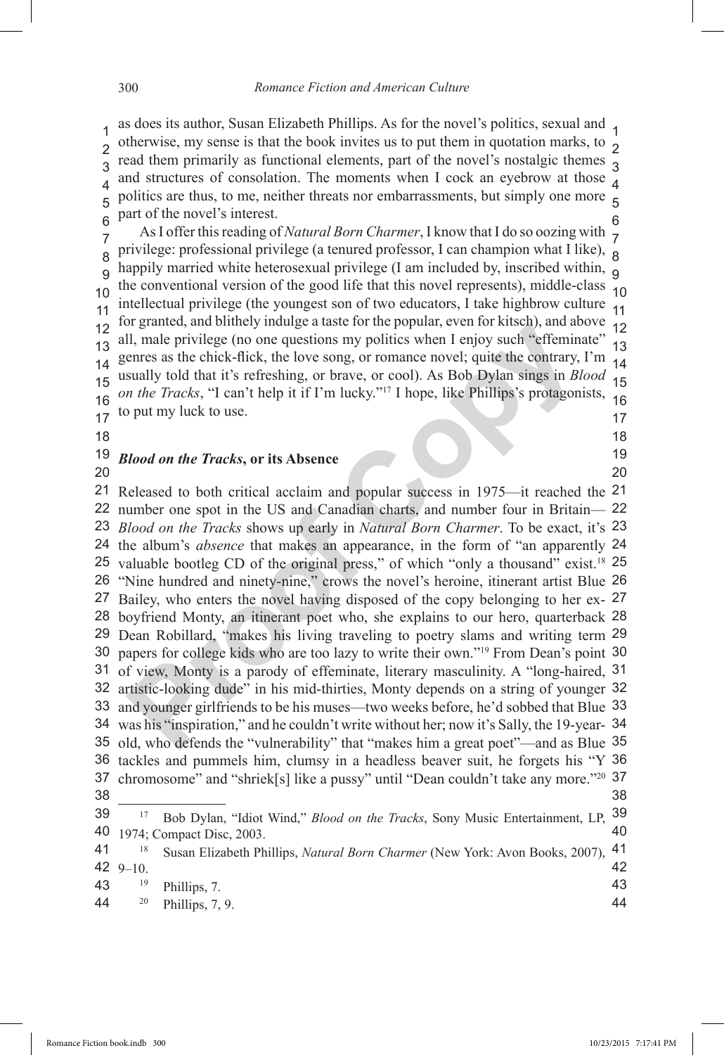$\overline{2}$  the fibre of the fibre of the fibre of  $\frac{1}{2}$  otherwise, my sense is that the book invites us to put them in quotation marks, to  $\frac{1}{2}$  read them primarily as functional elements, part of the novel's nostalgic themes 3 and structures of consolation. The moments when I cock an eyebrow at those 4 politics are thus, to me, neither threats nor embarrassments, but simply one more 5 as does its author, Susan Elizabeth Phillips. As for the novel's politics, sexual and part of the novel's interest.

 6 As I offer this reading of *Natural Born Charmer*, I know that I do so oozing with privilege: professional privilege (a tenured professor, I can champion what I like), 8 happily married white heterosexual privilege (I am included by, inscribed within,  $\frac{1}{9}$ intellectual privilege (the youngest son of two educators, I take highbrow culture  $\frac{1}{11}$  for granted, and blithely indulge a taste for the popular, even for kitsch), and above 12 genes as the effect friend, the fove song, or following flover, quite the contrary, 1 in 14<br>usually told that it's refreshing, or brave, or cool). As Bob Dylan sings in *Blood* <sub>15</sub> *on the Tracks*, "I can't help it if I'm lucky."<sup>17</sup> I hope, like Phillips's protagonists, 16 the conventional version of the good life that this novel represents), middle-class  $\frac{1}{10}$ all, male privilege (no one questions my politics when I enjoy such "effeminate" genres as the chick-flick, the love song, or romance novel; quite the contrary, I'm  $\frac{1}{14}$ to put my luck to use.

## *Blood on the Tracks***, or its Absence**

 23 *Blood on the Tracks* shows up early in *Natural Born Charmer*. To be exact, it's 24 the album's *absence* that makes an appearance, in the form of "an apparently 26 "Nine hundred and ninety-nine," crows the novel's heroine, itinerant artist Blue 28 boyfriend Monty, an itinerant poet who, she explains to our hero, quarterback 29 Dean Robillard, "makes his living traveling to poetry slams and writing term 31 of view, Monty is a parody of effeminate, literary masculinity. A "long-haired, 32 artistic-looking dude" in his mid-thirties, Monty depends on a string of younger 32 33 and younger girlfriends to be his muses—two weeks before, he'd sobbed that Blue Released to both critical acclaim and popular success in 1975—it reached the 21 number one spot in the US and Canadian charts, and number four in Britain—22 valuable bootleg CD of the original press," of which "only a thousand" exist.<sup>18</sup> 25 Bailey, who enters the novel having disposed of the copy belonging to her ex- 27 papers for college kids who are too lazy to write their own."<sup>19</sup> From Dean's point 30 was his "inspiration," and he couldn't write without her; now it's Sally, the 19-year-34 old, who defends the "vulnerability" that "makes him a great poet"—and as Blue 35 tackles and pummels him, clumsy in a headless beaver suit, he forgets his "Y 36 chromosome" and "shriek[s] like a pussy" until "Dean couldn't take any more."<sup>20</sup> 37 <sup>17</sup> Bob Dylan, "Idiot Wind," *Blood on the Tracks*, Sony Music Entertainment, LP, <sup>39</sup> or granted, and otherly mludge a taste to the popular, even to knots on, and a<br>
II, male privilege (no one questions my politics when I enjoy such "effeminat<br>
enres as the chick-flick, the love song, or romance novel; quit 1974; Compact Disc, 2003.

- Phillips, 7.
- Phillips, 7, 9.

 

 <sup>18</sup> Susan Elizabeth Phillips, *Natural Born Charmer* (New York: Avon Books, 2007), 41  $9-10.$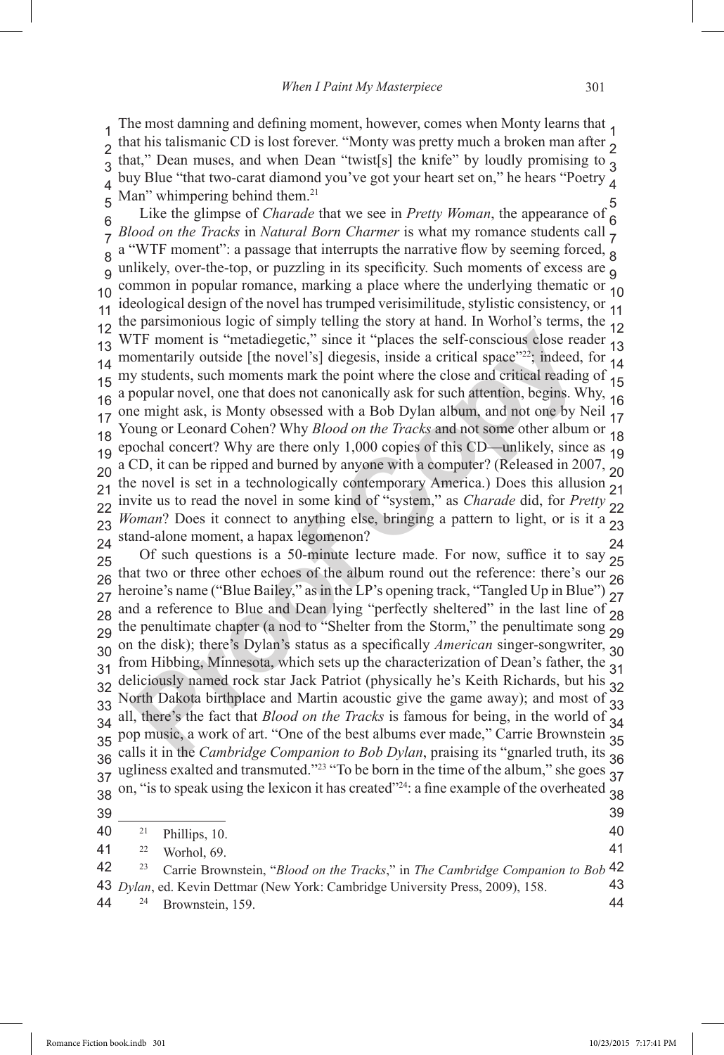The most damning and defining moment, however, comes when Monty learns that that his talismanic CD is lost forever. " Monty was pretty much a broken man after  $\mathcal{P}$ that," Dean muses, and when Dean "twist[s] the knife" by loudly promising to  $\overline{3}$ buy Blue "that two-carat diamond you've got your heart set on," he hears " Poetry  $\overline{A}$ Man" whimpering behind them.<sup>21</sup> 5

123456789 123456789 Like the glimpse of *Charade* that we see in *Pretty Woman*, the appearance of 6 *Blood on the Tracks* in *Natural Born Charmer* is what my romance students call  $\overline{7}$ a "WTF moment": a passage that interrupts the narrative flow by seeming forced,  $\frac{1}{8}$  $\mathsf{R}$ unlikely, over-the-top, or puzzling in its specificity. Such moments of excess are  $\overline{Q}$ common in popular romance, marking a place where the underlying thematic or <sub>10</sub> 10 ideological design of the novel has trumped verisimilitude, stylistic consistency, or 11 11 the parsimonious logic of simply telling the story at hand. In Worhol's terms, the 12 12 TF moment is "metadiegetic," since it "places the self-conscious close read<br>omentarily outside [the novel's] diegesis, inside a critical space"<sup>22</sup>; indeed, fit<br>y students, such moments mark the point where the close and W TF moment is "metadiegetic," since it "places the self-conscious close reader 13 13 momentarily outside [the novel's] diegesis, inside a critical space"<sup>22</sup>; indeed, for 14 14 my students, such moments mark the point where the close and critical reading of 15 15 a popular novel, one that does not canonically ask for such attention, begins. Why, 16 16 one might ask, is Monty obsessed with a Bob Dylan album, and not one by Neil 17 17 Young or Leonard Cohen? Why *Blood on the Tracks* and not some other album or <sub>18</sub> 18 epochal concert? Why are there only 1,000 copies of this CD—unlikely, since as 19 19 a CD, it can be ripped and burned by anyone with a computer? ( Released in 2007, 20 the novel is set in a technologically contemporary America.) Does this allusion  $\frac{1}{21}$ 21 21 invite us to read the novel in some kind of "system," as *Charade* did, for *Pretty* 22 22 *Woman*? Does it connect to anything else, bringing a pattern to light, or is it a  $\frac{1}{23}$ 23 stand-alone moment, a hapax legomenon? 24 24

25 26 27 28 29 30 31 32 33 34 35 36 37 38 39 Of such questions is a 50-minute lecture made. For now, suffice it to say  $25$ that two or three other echoes of the album round out the reference: there's our  $\frac{1}{26}$ 27 and a reference to Blue and Dean lying "perfectly sheltered" in the last line of 28 the penultimate chapter (a nod to "Shelter from the Storm," the penultimate song 29 on the disk); there's Dylan's status as a specifically *American* singer-songwriter, 30 from Hibbing, Minnesota, which sets up the characterization of Dean's father, the 32 North Dakota birthplace and Martin acoustic give the game away); and most of  $\frac{3}{3}$ all, there's the fact that *Blood on the Tracks* is famous for being, in the world of  $34$ 35 calls it in the *Cambridge Companion to Bob Dylan*, praising its "gnarled truth, its dins it in the Cambridge Companion to Bob Bytan, praising its guaried truth, its 36 ugliness exalted and transmuted.<sup>"23</sup> "To be born in the time of the album," she goes  $\frac{1}{27}$ 37 on, "is to speak using the lexicon it has created"<sup>24</sup>: a fine example of the overheated  $\frac{38}{36}$ 39 heroine's name ("Blue Bailey," as in the LP's opening track, "Tangled Up in Blue") deliciously named rock star Jack Patriot (physically he's Keith Richards, but his pop music, a work of art. " One of the best albums ever made," Carrie Brownstein

<sup>40</sup> 41 42 43 *Dylan*, ed. Kevin Dettmar ( New York: Cambridge University Press, 2009), 158. 44 40 41 42 <sup>23</sup> Carrie Brownstein, "*Blood on the Tracks*," in *The Cambridge Companion to Bob*  43 44  $21$  Phillips, 10.  $22$  Worhol, 69. <sup>24</sup> Brownstein, 159.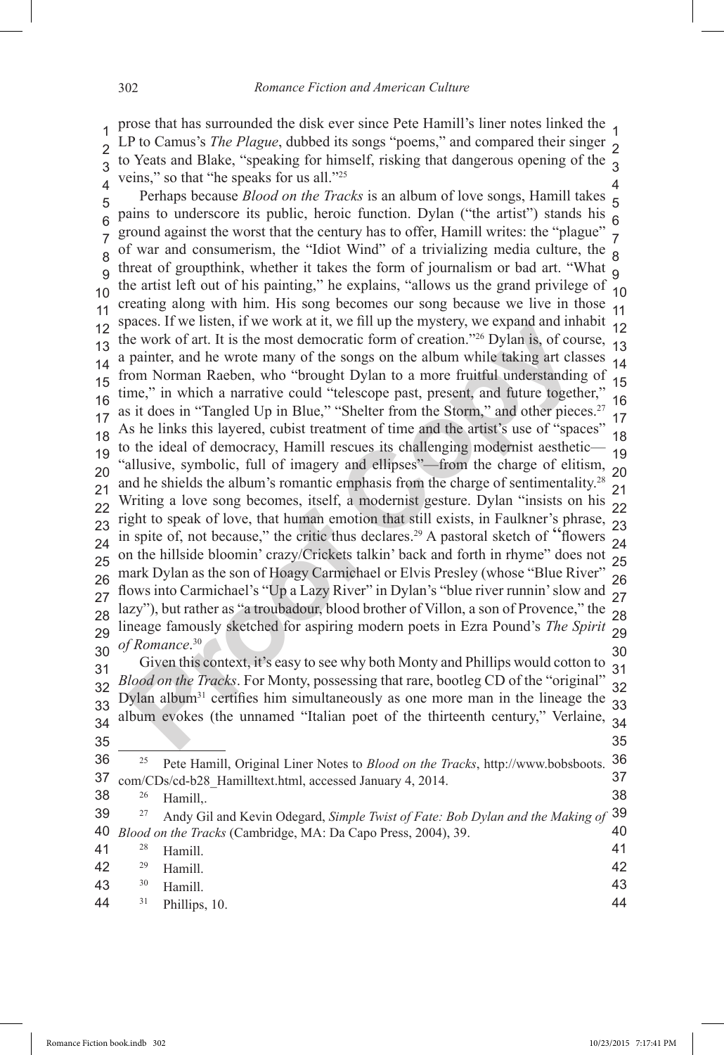$\overline{2}$  2 LP to Camus's *The Plague*, dubbed its songs "poems," and compared their singer to Yeats and Blake, "speaking for himself, risking that dangerous opening of the 3 prose that has surrounded the disk ever since Pete Hamill's liner notes linked the veins," so that "he speaks for us all."<sup>25</sup>

  $\overline{Q}$  5 Perhaps because *Blood on the Tracks* is an album of love songs, Hamill takes of war and consumerism, the "Idiot Wind" of a trivializing media culture, the  $\frac{8}{3}$ threat of groupthink, whether it takes the form of journalism or bad art. "What  $\frac{9}{9}$  creating along with him. His song becomes our song because we live in those 11 the work of art. It is the most democratic form of creation."<sup>26</sup> Dylan is, of course,  $\frac{1}{13}$  from Norman Raeben, who "brought Dylan to a more fruitful understanding of 15 "allusive, symbolic, full of imagery and ellipses"—from the charge of elitism, right to speak of love, that human emotion that still exists, in Faulkner's phrase, in spite of, not because," the critic thus declares.<sup>29</sup> A pastoral sketch of "flowers  $24$  hows like cannot at  $\frac{1}{2}$  by a Eazy Kiver. In Dyian 3 blue fiver running slow and 27 lazy"), but rather as "a troubadour, blood brother of Villon, a son of Provence," the  $\frac{1}{2}$  lineage famously sketched for aspiring modern poets in Ezra Pound's *The Spirit* 29 paces. I' we usede, the work at it, we mill up the mystery, we expand and uman<br>name mean of art. It is the most democratic form of creation."<sup>26</sup> Dylan is, of courrelative, and the wrote many of the songs on the album whil pains to underscore its public, heroic function. Dylan ("the artist") stands his ground against the worst that the century has to offer, Hamill writes: the "plague" the artist left out of his painting," he explains, "allows us the grand privilege of  $\overline{10}$ spaces. If we listen, if we work at it, we fill up the mystery, we expand and inhabit  $\frac{1}{12}$ a painter, and he wrote many of the songs on the album while taking art classes  $_{14}$ time," in which a narrative could "telescope past, present, and future together," as it does in "Tangled Up in Blue," "Shelter from the Storm," and other pieces.<sup>27</sup> As he links this layered, cubist treatment of time and the artist's use of "spaces" to the ideal of democracy, Hamill rescues its challenging modernist aesthetic and he shields the album's romantic emphasis from the charge of sentimentality.<sup>28</sup> Writing a love song becomes, itself, a modernist gesture. Dylan "insists on his on the hillside bloomin' crazy/Crickets talkin' back and forth in rhyme" does not mark Dylan as the son of Hoagy Carmichael or Elvis Presley (whose "Blue River" flows into Carmichael's "Up a Lazy River" in Dylan's "blue river runnin' slow and  $\frac{2}{27}$ *of Romance*. 30 Given this context, it's easy to see why both Monty and Phillips would cotton to

 album evokes (the unnamed "Italian poet of the thirteenth century," Verlaine, 34 *Blood on the Tracks*. For Monty, possessing that rare, bootleg CD of the "original" Dylan album<sup>31</sup> certifies him simultaneously as one more man in the lineage the Pete Hamill, Original Liner Notes to *Blood on the Tracks*, http://www.bobsboots.

 <sup>27</sup> Andy Gil and Kevin Odegard, *Simple Twist of Fate: Bob Dylan and the Making of* <sup>39</sup> com/CDs/cd-b28\_Hamilltext.html, accessed January 4, 2014. Hamill,. *Blood on the Tracks* (Cambridge, MA: Da Capo Press, 2004), 39. Hamill. Hamill. Hamill.

 Phillips, 10.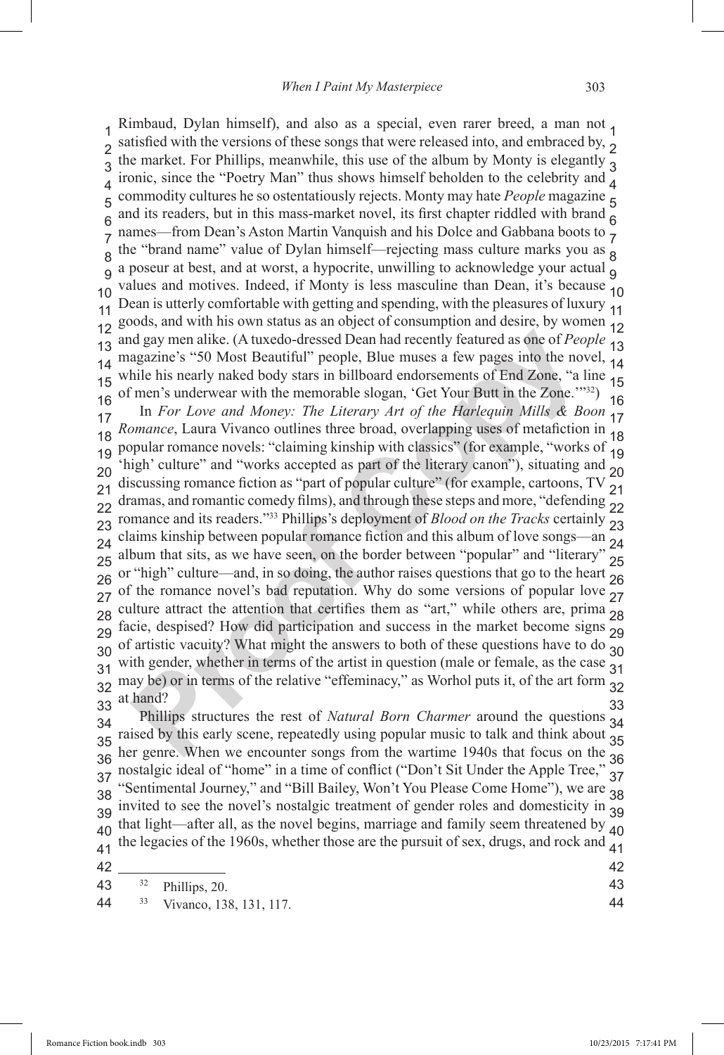Rimbaud, Dylan himself), and also as a special, even rarer breed, a man not 123456789 123456789 satisfied with the versions of these songs that were released into, and embraced by,  $\frac{1}{2}$  $\mathcal{P}$ the market. For Phillips, meanwhile, this use of the album by Monty is elegantly  $\overline{3}$ ironic, since the "Poetry Man" thus shows himself beholden to the celebrity and  $\overline{\mathbf{A}}$ commodity cultures he so ostentatiously rejects. Monty may hate *People* magazine 5 and its readers, but in this mass-market novel, its first chapter riddled with brand  $\epsilon$ 6 names—from Dean's Aston Martin Vanquish and his Dolce and Gabbana boots to  $\overline{7}$ the "brand name" value of Dylan himself—rejecting mass culture marks you as  $\alpha$  $\mathsf{R}$ a poseur at best, and at worst, a hypocrite, unwilling to acknowledge your actual  $\alpha$  $\overline{Q}$ values and motives. Indeed, if Monty is less masculine than Dean, it's because <sub>10</sub> 10 Dean is utterly comfortable with getting and spending, with the pleasures of luxury 11 11 goods, and with his own status as an object of consumption and desire, by women 12 12 and gay men alike. (A tuxedo-dressed Dean had recently featured as one of *People* 13 13 magazine's "50 Most Beautiful" people, Blue muses a few pages into the novel, 14 14 while his nearly naked body stars in billboard endorsements of End Zone, "a line  $15$ 15 of men's underwear with the memorable slogan, 'Get Your Butt in the Zone.'" $^{32}$ ) 16 16

d gay men alike. (A tuxedo-dressed Dean had recently featured as one of *Peop*<br>agazine's "50 Most Beautiful" people, Blue muses a few pages into the nove<br>hirle his nearly naked body stars in billboard endorsements of End Z 17 18 19 20 21 22 23 24 25 26 27 28 29 30 31 32 33 17 *Romance*, Laura Vivanco outlines three broad, overlapping uses of metafiction in 18 popular romance novels: "claiming kinship with classics" (for example, "works of 19 discussing romance fiction as "part of popular culture" (for example, cartoons, TV 21 21 dramas, and romantic comedy films), and through these steps and more, "defending 22 romance and its readers."<sup>33</sup> Phillips's deployment of *Blood on the Tracks* certainly  $\frac{1}{23}$ 24 album that sits, as we have seen, on the border between "popular" and "literary"  $25$ or "high" culture—and, in so doing, the author raises questions that go to the heart 26 27 culture attract the attention that certifies them as "art," while others are, prima 28 facie, despised? How did participation and success in the market become signs 29 of artistic vacuity? What might the answers to both of these questions have to do  $\frac{30}{30}$ 31 may be) or in terms of the relative "effeminacy," as Worhol puts it, of the art form 32 33 In *For Love and Money: The Literary Art of the Harlequin Mills & Boon* 'high' culture" and "works accepted as part of the literary canon"), situating and  $_{20}$ claims kinship between popular romance fiction and this album of love songs—an  $24$ of the romance novel's bad reputation. Why do some versions of popular love  $\frac{1}{27}$ with gender, whether in terms of the artist in question (male or female, as the case  $\frac{1}{31}$ at hand?

34 35 36 37 38 39 40 41 42 Phillips structures the rest of *Natural Born Charmer* around the questions 34 35 her genre. When we encounter songs from the wartime 1940s that focus on the 36 37 "Sentimental Journey," and "Bill Bailey, Won't You Please Come Home"), we are 38 that light—after all, as the novel begins, marriage and family seem threatened by  $_{40}$ 40 the legacies of the 1960s, whether those are the pursuit of sex, drugs, and rock and  $\frac{1}{41}$ 42 raised by this early scene, repeatedly using popular music to talk and think about  $35$ nostalgic ideal of "home" in a time of conflict ("Don't Sit Under the Apple Tree," invited to see the novel's nostalgic treatment of gender roles and domesticity in <sub>39</sub>

|  | 43 $3^2$ Phillips, 20.                                                                                                                                                                                                                                                                        |
|--|-----------------------------------------------------------------------------------------------------------------------------------------------------------------------------------------------------------------------------------------------------------------------------------------------|
|  | $\mathbf{A}$ and the contract of $\mathbf{A}$ and $\mathbf{A}$ and $\mathbf{A}$ and $\mathbf{A}$ and $\mathbf{A}$ and $\mathbf{A}$ and $\mathbf{A}$ and $\mathbf{A}$ and $\mathbf{A}$ and $\mathbf{A}$ and $\mathbf{A}$ and $\mathbf{A}$ and $\mathbf{A}$ and $\mathbf{A}$ and $\mathbf{A}$ a |

44 Vivanco, 138, 131, 117.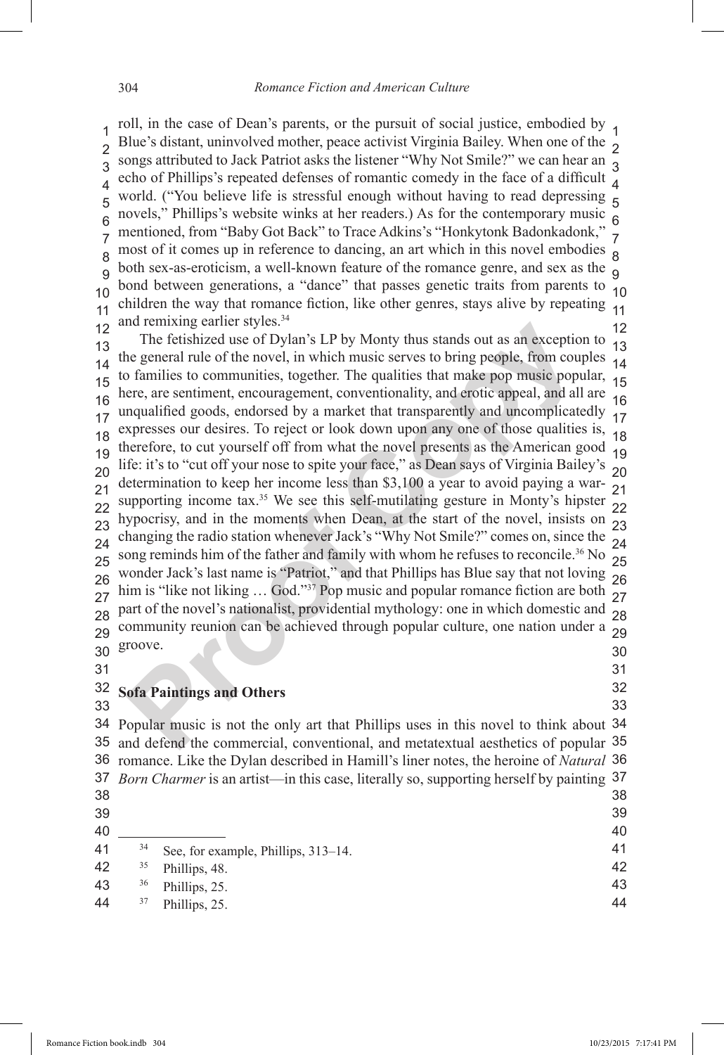$\overline{2}$   $\overline{Q}$  roll, in the case of Dean's parents, or the pursuit of social justice, embodied by  $\frac{1}{2}$  songs attributed to Jack Patriot asks the listener "Why Not Smile?" we can hear an 3 echo of Phillips's repeated defenses of romantic comedy in the face of a difficult 4 world. ("You believe life is stressful enough without having to read depressing 5 novels," Phillips's website winks at her readers.) As for the contemporary music 6 mentioned, from "Baby Got Back" to Trace Adkins's "Honkytonk Badonkadonk,"<br>ment of it concerns in a former to densing a grant which in this word, who dies most of it comes up in reference to dancing, an art which in this novel embodies  $\frac{1}{8}$ both sex-as-eroticism, a well-known feature of the romance genre, and sex as the g children the way that romance fiction, like other genres, stays alive by repeating Blue's distant, uninvolved mother, peace activist Virginia Bailey. When one of the  $\sigma$ bond between generations, a "dance" that passes genetic traits from parents to  $\frac{1}{10}$ and remixing earlier styles.<sup>34</sup>

 The fetishized use of Dylan's LP by Monty thus stands out as an exception to 13 the general rule of the novel, in which music serves to bring people, from couples 14 to families to communities, together. The qualities that make pop music popular, 15 here, are sentiment, encouragement, conventionality, and erotic appeal, and all are 16 expresses our desires. To reject or look down upon any one of those qualities is, 18 therefore, to cut yourself off from what the novel presents as the American good 19 life: it's to "cut off your nose to spite your face," as Dean says of Virginia Bailey's 20 supporting income tax.<sup>35</sup> We see this self-mutilating gesture in Monty's hipster  $\frac{1}{22}$ hypocrisy, and in the moments when Dean, at the start of the novel, insists on  $23$ changing the radio station whenever Jack's "Why Not Smile?" comes on, since the 24 wonder Jack's last name is "Patriot," and that Phillips has Blue say that not loving  $\frac{1}{26}$ him is "like not liking ... God."<sup>37</sup> Pop music and popular romance fiction are both 27 community reunion can be achieved through popular culture, one nation under a  $\frac{29}{29}$  In entring earner siyes.<br>The fetishized use of Dylan's LP by Monty thus stands out as an exception<br>ne general rule of the novel, in which music serves to bring people, from coupl<br>ne general rule of the novel, in which musi unqualified goods, endorsed by a market that transparently and uncomplicatedly  $\frac{1}{17}$ determination to keep her income less than \$3,100 a year to avoid paying a warsong reminds him of the father and family with whom he refuses to reconcile.<sup>36</sup> No  $_{25}$ part of the novel's nationalist, providential mythology: one in which domestic and  $\frac{1}{28}$ groove.

### **Sofa Paintings and Others**

 Popular music is not the only art that Phillips uses in this novel to think about 34 and defend the commercial, conventional, and metatextual aesthetics of popular 35 36 romance. Like the Dylan described in Hamill's liner notes, the heroine of *Natural*  37 *Born Charmer* is an artist—in this case, literally so, supporting herself by painting See, for example, Phillips, 313–14. Phillips, 48.

 Phillips, 25. Phillips, 25.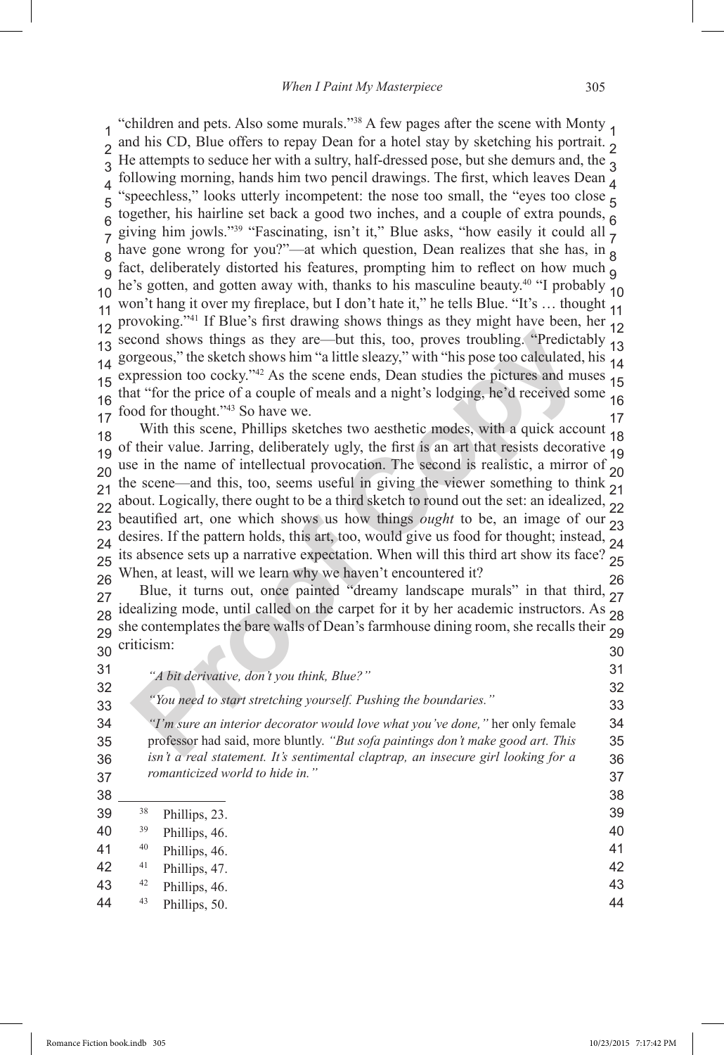"children and pets. Also some murals."38 A few pages after the scene with Monty and his CD, Blue offers to repay Dean for a hotel stay by sketching his portrait.  $\mathcal{P}$ He attempts to seduce her with a sultry, half-dressed pose, but she demurs and, the  $\frac{1}{3}$  $\overline{3}$ following morning, hands him two pencil drawings. The first, which leaves Dean  $\overline{A}$  $\overline{\mathbf{A}}$ "speechless," looks utterly incompetent: the nose too small, the "eyes too close  $_5$ " together, his hairline set back a good two inches, and a couple of extra pounds,  $\epsilon$ giving him jowls."<sup>39</sup> "Fascinating, isn't it," Blue asks, "how easily it could all  $\frac{1}{7}$  $\overline{7}$ have gone wrong for you?"—at which question, Dean realizes that she has, in  $\mathsf{R}$ fact, deliberately distorted his features, prompting him to reflect on how much  $\alpha$  $\overline{Q}$ he's gotten, and gotten away with, thanks to his masculine beauty.<sup>40</sup> "I probably  $1<sub>0</sub>$  won't hang it over my fireplace, but I don't hate it," he tells Blue. "It's ... thought 11 provoking."<sup>41</sup> If Blue's first drawing shows things as they might have been, her second shows things as they are—but this, too, proves troubling. "Predictably 13 gorgeous," the sketch shows him "a little sleazy," with "his pose too calculated, his  $\frac{1}{14}$  expression too cocky." As the scene ends, Dean studies the pictures and muses  $15$  that "for the price of a couple of meals and a night's lodging, he'd received some 16 food for thought."<sup>43</sup> So have we. 

cond shows things as they are—but this, too, proves troubling. "Predictab spreous," the sketch shows him "a little sleazy," with "his pose too calculated, h, pression too cocky."<sup>42</sup> As the secone ends, Dean studies the p With this scene, Phillips sketches two aesthetic modes, with a quick account <sub>18</sub> of their value. Jarring, deliberately ugly, the first is an art that resists decorative 19 use in the name of intellectual provocation. The second is realistic, a mirror of about. Logically, there ought to be a third sketch to round out the set: an idealized, 22 beautified art, one which shows us how things *ought* to be, an image of our  $\frac{1}{23}$  its absence sets up a narrative expectation. When will this third art show its face?  $\frac{1}{25}$  the scene—and this, too, seems useful in giving the viewer something to think desires. If the pattern holds, this art, too, would give us food for thought; instead, When, at least, will we learn why we haven't encountered it?

 idealizing mode, until called on the carpet for it by her academic instructors. As she contemplates the bare walls of Dean's farmhouse dining room, she recalls their  $\frac{1}{29}$  Blue, it turns out, once painted "dreamy landscape murals" in that third,  $\frac{1}{27}$ criticism:

 *"A bit derivative, don't you think, Blue?" "You need to start stretching yourself. Pushing the boundaries." "I'm sure an interior decorator would love what you've done,"* her only female professor had said, more bluntly. *"But sofa paintings don't make good art. This isn't a real statement. It's sentimental claptrap, an insecure girl looking for a romanticized world to hide in."* Phillips, 23. Phillips, 46. Phillips, 46. Phillips, 47. Phillips, 46. Phillips, 50.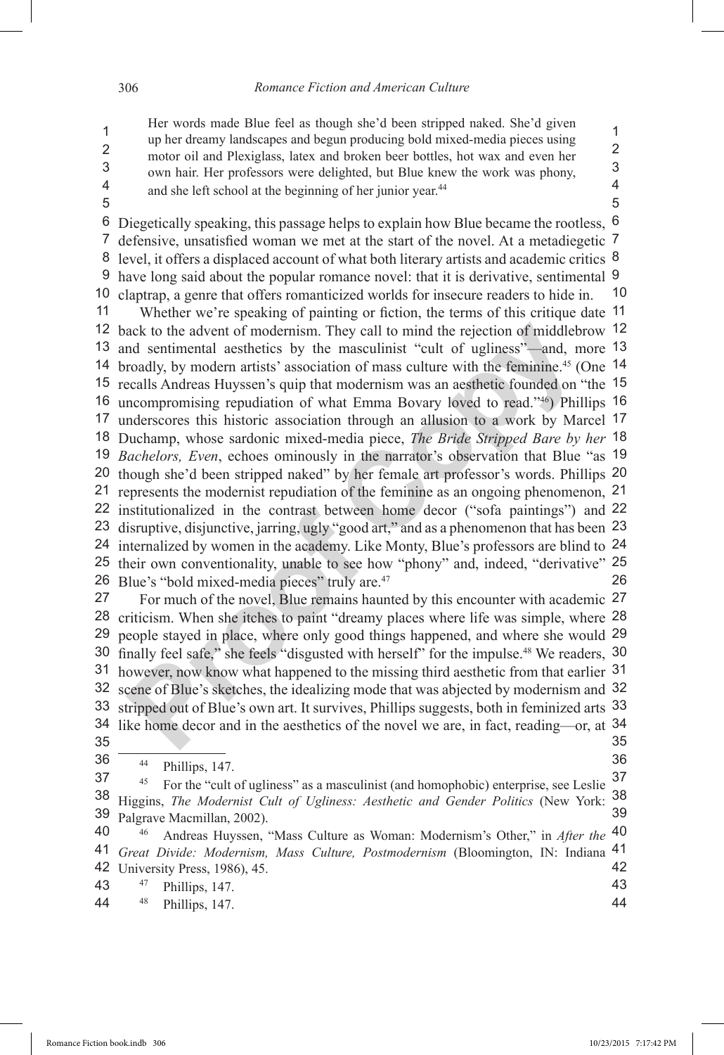6 Diegetically speaking, this passage helps to explain how Blue became the rootless, 12 back to the advent of modernism. They call to mind the rejection of middlebrow 13 and sentimental aesthetics by the masculinist "cult of ugliness"—and, more 13 14 broadly, by modern artists' association of mass culture with the feminine.<sup>45</sup> (One 14 15 recalls Andreas Huyssen's quip that modernism was an aesthetic founded on "the 16 uncompromising repudiation of what Emma Bovary loved to read."46) Phillips 17 underscores this historic association through an allusion to a work by Marcel  $\mathfrak{p}$  defensive, unsatisfied woman we met at the start of the novel. At a metadiegetic 7 8 level, it offers a displaced account of what both literary artists and academic critics have long said about the popular romance novel: that it is derivative, sentimental 9 Whether we're speaking of painting or fiction, the terms of this critique date 11 Her words made Blue feel as though she'd been stripped naked. She'd given up her dreamy landscapes and begun producing bold mixed-media pieces using motor oil and Plexiglass, latex and broken beer bottles, hot wax and even her own hair. Her professors were delighted, but Blue knew the work was phony, and she left school at the beginning of her junior year.<sup>44</sup> claptrap, a genre that offers romanticized worlds for insecure readers to hide in.

 18 Duchamp, whose sardonic mixed-media piece, *The Bride Stripped Bare by her*  19 *Bachelors, Even*, echoes ominously in the narrator's observation that Blue "as 20 though she'd been stripped naked" by her female art professor's words. Phillips 21 represents the modernist repudiation of the feminine as an ongoing phenomenon, 22 institutionalized in the contrast between home decor ("sofa paintings") and 23 disruptive, disjunctive, jarring, ugly "good art," and as a phenomenon that has been 23 24 internalized by women in the academy. Like Monty, Blue's professors are blind to 24 25 their own conventionality, unable to see how "phony" and, indeed, "derivative" Blue's "bold mixed-media pieces" truly are.47 

 28 criticism. When she itches to paint "dreamy places where life was simple, where For much of the novel, Blue remains haunted by this encounter with academic 27 29 people stayed in place, where only good things happened, and where she would finally feel safe," she feels "disgusted with herself" for the impulse.<sup>48</sup> We readers, 30 however, now know what happened to the missing third aesthetic from that earlier 31 scene of Blue's sketches, the idealizing mode that was abjected by modernism and 32 stripped out of Blue's own art. It survives, Phillips suggests, both in feminized arts 33 like home decor and in the aesthetics of the novel we are, in fact, reading—or, at 34 ack to the advent of modernism. They call to mind the rejection of middlebrot condying that "cut of reginess"—ead, morocally, by modern artists' association of mass culture with the ferminne.<sup>45</sup> (Or colds) shareas Huyssen

- 41 *Great Divide: Modernism, Mass Culture, Postmodernism* (Bloomington, IN: Indiana Phillips, 147. For the "cult of ugliness" as a masculinist (and homophobic) enterprise, see Leslie Higgins, *The Modernist Cult of Ugliness: Aesthetic and Gender Politics* (New York: Palgrave Macmillan, 2002). Andreas Huyssen, "Mass Culture as Woman: Modernism's Other," in *After the*  University Press, 1986), 45.
- Phillips, 147. Phillips, 147.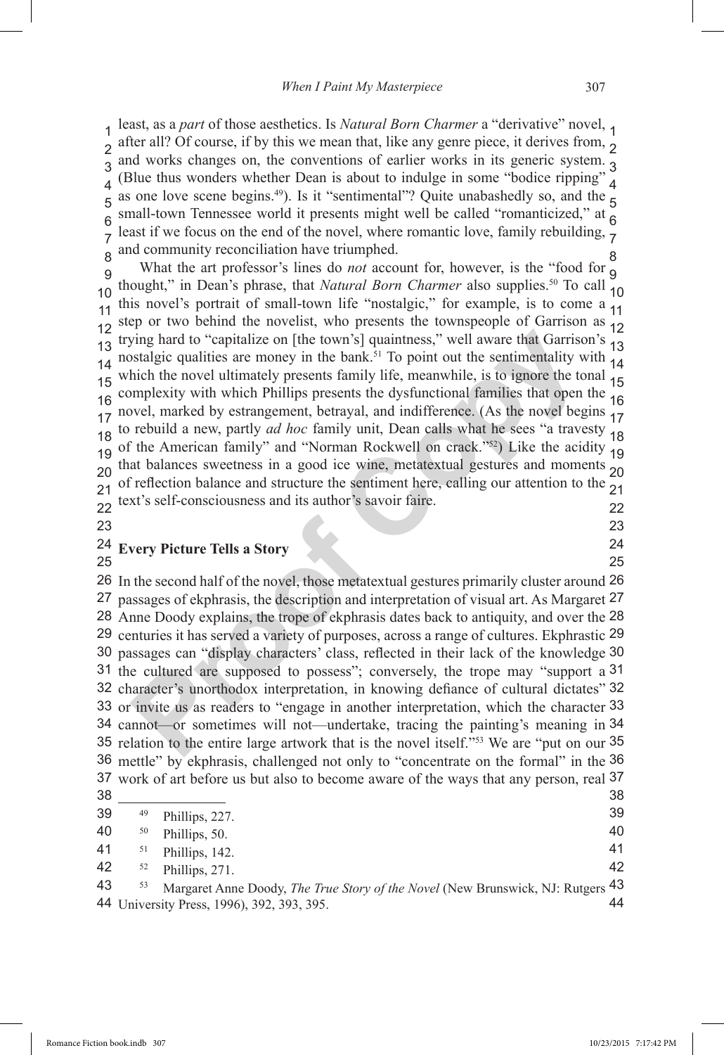least, as a *part* of those aesthetics. Is *Natural Born Charmer* a "derivative" novel, 123456789 123456789 after all? Of course, if by this we mean that, like any genre piece, it derives from,  $\mathcal{L}$ and works changes on, the conventions of earlier works in its generic system.  $\frac{1}{3}$  $\overline{3}$ (Blue thus wonders whether Dean is about to indulge in some "bodice ripping"  $\frac{1}{4}$  $\overline{A}$ as one love scene begins.49). Is it "sentimental"? Quite unabashedly so, and the 5 small-town Tennessee world it presents might well be called "romanticized," at 6 least if we focus on the end of the novel, where romantic love, family rebuilding,  $\frac{1}{7}$  $\overline{7}$ and community reconciliation have triumphed.  $\overline{a}$ 

What the art professor's lines do *not* account for, however, is the "food for  $\frac{1}{9}$ "  $\overline{Q}$ thought," in Dean's phrase, that *Natural Born Charmer* also supplies.<sup>50</sup> To call 10 10 this novel's portrait of small-town life "nostalgic," for example, is to come a 11 11 step or two behind the novelist, who presents the townspeople of Garrison as 12 12 trying hard to "capitalize on [the town's] quaintness," well aware that Garrison's  $\frac{1}{13}$ 13  $13$  nostalgic qualities are money in the bank.<sup>51</sup> To point out the sentimentality with  $14$ 14 14 which the novel ultimately presents family life, meanwhile, is to ignore the tonal 15 15 complexity with which Phillips presents the dysfunctional families that open the 16 16 novel, marked by estrangement, betrayal, and indifference. (As the novel begins  $\frac{1}{17}$ 17 17 to rebuild a new, partly *ad hoc* family unit, Dean calls what he sees "a travesty 18 18 of the American family" and "Norman Rockwell on crack."<sup>52</sup>) Like the acidity 19 19 that balances sweetness in a good ice wine, metatextual gestures and moments  $\frac{1}{20}$ 20 20 of reflection balance and structure the sentiment here, calling our attention to the 21 21 text's self-consciousness and its author's savoir faire. 22 22

23

## 24 **Every Picture Tells a Story**

25

by ing hard to "capitalize on [the town's] quaintness," well aware that Garrison<br>stalgic qualities are money in the bank.<sup>51</sup> To point out the sentimentality with<br>hich the novel ultimately presents family life, meanwhile, 26 26 In the second half of the novel, those metatextual gestures primarily cluster around 27 passages of ekphrasis, the description and interpretation of visual art. As Margaret 27 28 Anne Doody explains, the trope of ekphrasis dates back to antiquity, and over the 28 29 29 centuries it has served a variety of purposes, across a range of cultures. Ekphrastic 30 30 passages can "display characters' class, reflected in their lack of the knowledge 31 the cultured are supposed to possess"; conversely, the trope may "support a 31 32 32 character's unorthodox interpretation, in knowing defiance of cultural dictates" 33 or invite us as readers to "engage in another interpretation, which the character 33 34 34 cannot—or sometimes will not—undertake, tracing the painting's meaning in 35 relation to the entire large artwork that is the novel itself."<sup>53</sup> We are "put on our 35 36 36 mettle" by ekphrasis, challenged not only to "concentrate on the formal" in the 37 37 work of art before us but also to become aware of the ways that any person, real 38 39 40 41 38 39 40 41 49 Phillips, 227. <sup>50</sup> Phillips, 50. <sup>51</sup> Phillips, 142.

42 <sup>52</sup> Phillips, 271.

43 44 University Press, 1996), 392, 393, 395. <sup>53</sup> Margaret Anne Doody, *The True Story of the Novel* (New Brunswick, NJ: Rutgers <sup>43</sup> 44

23 24 25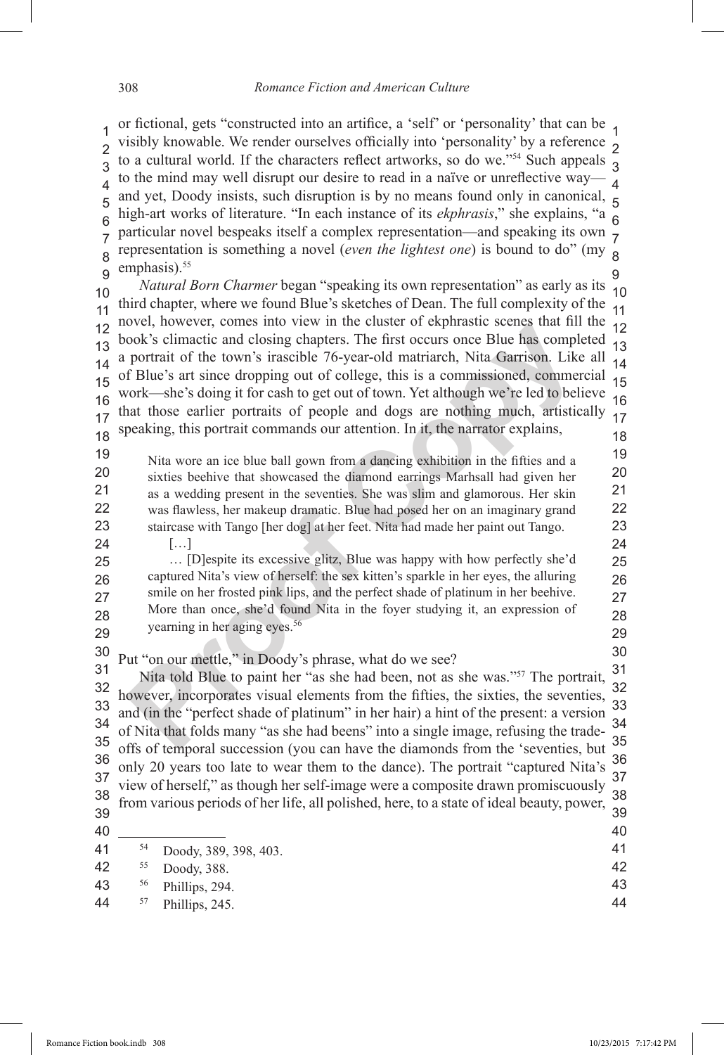$\overline{2}$  visibly knowable. We render ourselves officially into 'personality' by a reference  $\frac{1}{2}$  to a cultural world. If the characters reflect artworks, so do we."<sup>54</sup> Such appeals  $\frac{3}{3}$  high-art works of literature. "In each instance of its *ekphrasis*," she explains, "a 6 particular novel bespeaks itself a complex representation—and speaking its own 7 representation is something a novel (*even the lightest one*) is bound to do" (my  $\frac{8}{3}$  third chapter, where we found Blue's sketches of Dean. The full complexity of the 11 novel, however, comes into view in the cluster of ekphrastic scenes that fill the 12 book's climactic and closing chapters. The first occurs once Blue has completed 13 of Blue's art since dropping out of college, this is a commissioned, commercial 15 that those earlier portraits of people and dogs are nothing much, artistically 17 ord, in wever, comes into view in the cluster of expirants certers that im<br>ook's climateic and closing chapters. The first occurs once Blue has complete<br>portrait of the town's irascible 76-year-old matriarch, Nita Garrison or fictional, gets "constructed into an artifice, a 'self' or 'personality' that can be to the mind may well disrupt our desire to read in a naïve or unreflective way and yet, Doody insists, such disruption is by no means found only in canonical,  $\overline{p}$ emphasis).<sup>55</sup> *Natural Born Charmer* began "speaking its own representation" as early as its a portrait of the town's irascible 76-year-old matriarch, Nita Garrison. Like all work—she's doing it for cash to get out of town. Yet although we're led to believe  $\frac{16}{16}$ speaking, this portrait commands our attention. In it, the narrator explains, Nita wore an ice blue ball gown from a dancing exhibition in the fifties and a sixties beehive that showcased the diamond earrings Marhsall had given her as a wedding present in the seventies. She was slim and glamorous. Her skin was flawless, her makeup dramatic. Blue had posed her on an imaginary grand staircase with Tango [her dog] at her feet. Nita had made her paint out Tango. […] … [D]espite its excessive glitz, Blue was happy with how perfectly she'd captured Nita's view of herself: the sex kitten's sparkle in her eyes, the alluring smile on her frosted pink lips, and the perfect shade of platinum in her beehive. More than once, she'd found Nita in the foyer studying it, an expression of yearning in her aging eyes.<sup>56</sup> Put "on our mettle," in Doody's phrase, what do we see? Nita told Blue to paint her "as she had been, not as she was."<sup>57</sup> The portrait, however, incorporates visual elements from the fifties, the sixties, the seventies, and (in the "perfect shade of platinum" in her hair) a hint of the present: a version of Nita that folds many "as she had beens" into a single image, refusing the tradeoffs of temporal succession (you can have the diamonds from the 'seventies, but only 20 years too late to wear them to the dance). The portrait "captured Nita's view of herself," as though her self-image were a composite drawn promiscuously from various periods of her life, all polished, here, to a state of ideal beauty, power, Doody, 389, 398, 403. Doody, 388. Phillips, 294. Phillips, 245.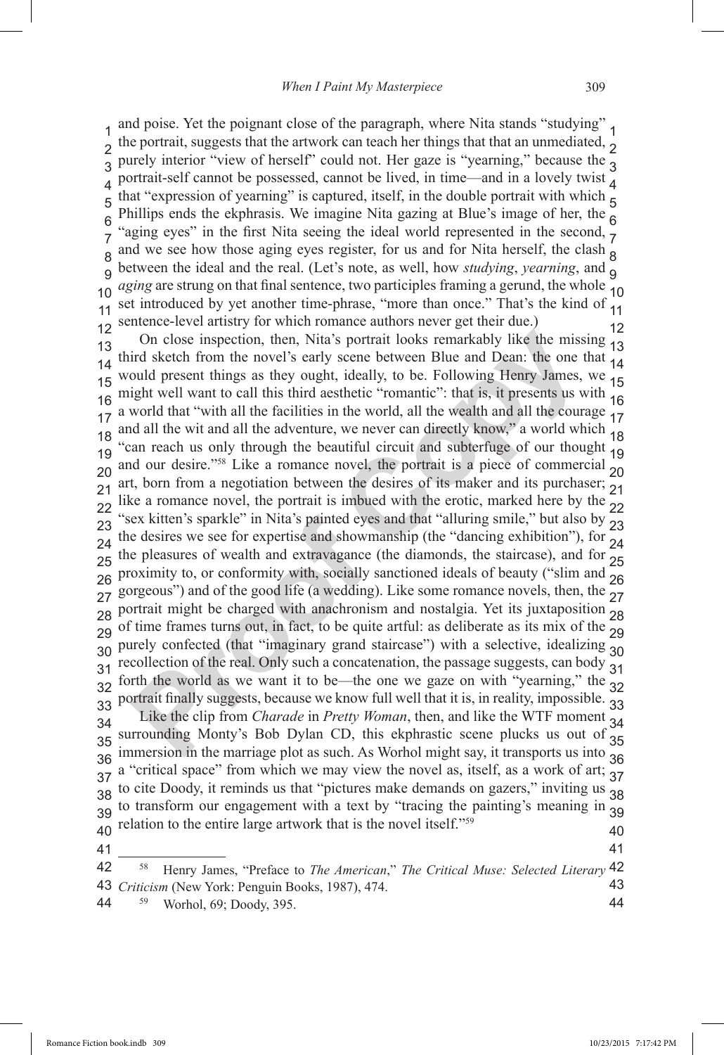and poise. Yet the poignant close of the paragraph, where Nita stands "studying" 123456789 123456789 the portrait, suggests that the artwork can teach her things that that an unmediated,  $\sigma$  $\mathcal{L}$ purely interior "view of herself" could not. Her gaze is "yearning," because the  $\frac{1}{3}$  $\overline{3}$ portrait-self cannot be possessed, cannot be lived, in time—and in a lovely twist  $\overline{A}$  $\overline{\mathbf{A}}$ that "expression of yearning" is captured, itself, in the double portrait with which  $\epsilon$ 5 Phillips ends the ekphrasis. We imagine Nita gazing at Blue's image of her, the ĥ "aging eyes" in the first Nita seeing the ideal world represented in the second,  $\overline{7}$ and we see how those aging eyes register, for us and for Nita herself, the clash  $\mathsf{R}$ between the ideal and the real. (Let's note, as well, how *studying*, *yearning*, and  $\overline{Q}$ *aging* are strung on that final sentence, two participles framing a gerund, the whole <sup>10</sup>  $1<sub>0</sub>$ set introduced by yet another time-phrase, "more than once." That's the kind of  $_{11}$ 11 sentence-level artistry for which romance authors never get their due.)

On close inspection, then, Nita's portrait looks remarkably like the missir ird sketch from the novel's early scene between Blue and Dean: the one th oudd present things as they ought, ideally, to be. Following Henry James 12 13 14 15 16 17 18 19 20 21 22 23 24 25 26 27 28 29 30 31 32 33 34 35 36 37 38 39 40 12 On close inspection, then, Nita's portrait looks remarkably like the missing 13 third sketch from the novel's early scene between Blue and Dean: the one that 14 would present things as they ought, ideally, to be. Following Henry James, we 15 might well want to call this third aesthetic "romantic": that is, it presents us with  $16$ a world that with an the identities in the world, an the wealth and an the courage 17<br>and all the wit and all the adventure, we never can directly know," a world which <sub>18</sub> 18 "can reach us only through the beautiful circuit and subterfuge of our thought 19 and our desire. Ence a romance nover, are portant is a prece of commercial 20 art, born from a negotiation between the desires of its maker and its purchaser;  $\frac{1}{24}$ 21 like a romance novel, the portrait is imbued with the erotic, marked here by the  $22$ "sex kitten's sparkle" in Nita's painted eyes and that "alluring smile," but also by  $_{23}$ 24 the pleasures of wealth and extravagance (the diamonds, the staircase), and for  $25$ proximity to, or conformity with, socially sanctioned ideals of beauty ("slim and  $\frac{1}{26}$ 27 portrait might be charged with anachronism and nostalgia. Yet its juxtaposition 28 29 purely confected (that "imaginary grand staircase") with a selective, idealizing 30 recollection of the real. Only such a concatenation, the passage suggests, can body 31 forth the world as we want it to be—the one we gaze on with "yearning," the 32 portrait finally suggests, because we know full well that it is, in reality, impossible. 33 Like the clip from *Charade* in *Pretty Woman*, then, and like the WTF moment 34 35 immersion in the marriage plot as such. As Worhol might say, it transports us into 36 to cite Doody, it reminds us that "pictures make demands on gazers," inviting us  $_{38}$  to cite Doody, it reminds us that "pictures make demands on gazers," inviting us  $_{38}$ 38 to transform our engagement with a text by "tracing the painting's meaning in 39 40 a world that "with all the facilities in the world, all the wealth and all the courage  $\frac{1}{17}$ and our desire."<sup>58</sup> Like a romance novel, the portrait is a piece of commercial the desires we see for expertise and showmanship (the "dancing exhibition"), for  $\frac{1}{24}$ gorgeous") and of the good life (a wedding). Like some romance novels, then, the  $\frac{1}{27}$ of time frames turns out, in fact, to be quite artful: as deliberate as its mix of the  $\frac{1}{29}$ surrounding Monty's Bob Dylan CD, this ekphrastic scene plucks us out of a "critical space" from which we may view the novel as, itself, as a work of art;  $\frac{1}{37}$ relation to the entire large artwork that is the novel itself."<sup>59</sup>

41

44 <sup>59</sup> Worhol, 69; Doody, 395. 41

<sup>42</sup> 43 *Criticism* ( New York: Penguin Books, 1987), 474. 42 Henry James, " Preface to *The American*," *The Critical Muse: Selected Literary*  43 58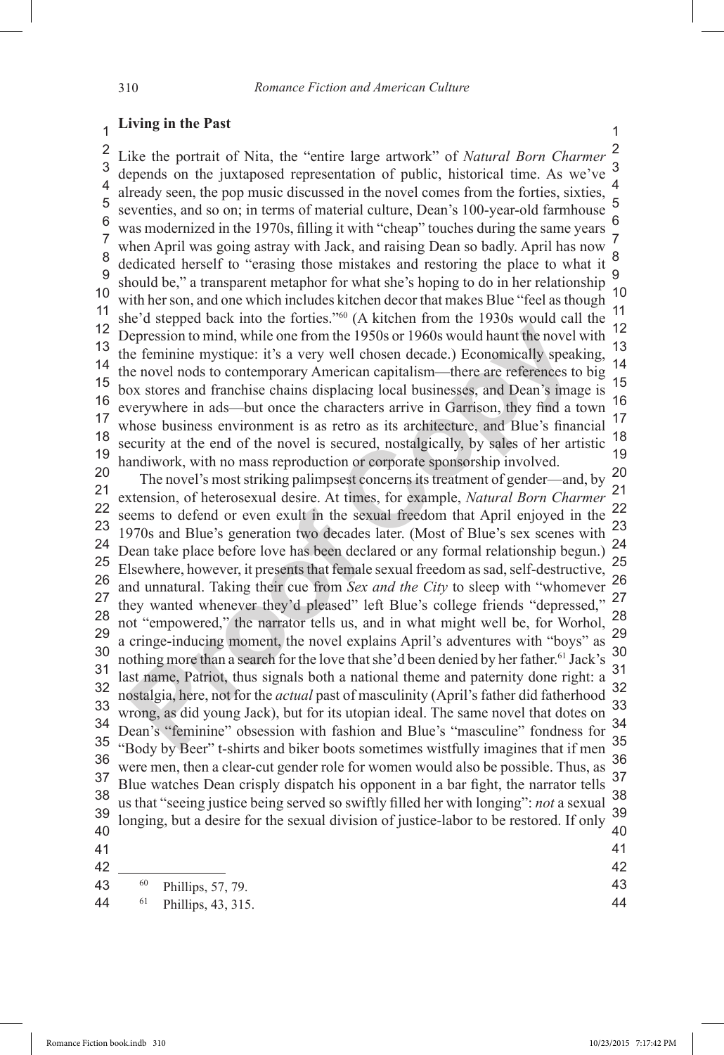#### **Living in the Past**

  $\overline{A}$  Like the portrait of Nita, the "entire large artwork" of *Natural Born Charmer* depends on the juxtaposed representation of public, historical time. As we've already seen, the pop music discussed in the novel comes from the forties, sixties, seventies, and so on; in terms of material culture, Dean's 100-year-old farmhouse was modernized in the 1970s, filling it with "cheap" touches during the same years when April was going astray with Jack, and raising Dean so badly. April has now dedicated herself to "erasing those mistakes and restoring the place to what it should be," a transparent metaphor for what she's hoping to do in her relationship with her son, and one which includes kitchen decor that makes Blue "feel as though she'd stepped back into the forties."60 (A kitchen from the 1930s would call the Depression to mind, while one from the 1950s or 1960s would haunt the novel with the feminine mystique: it's a very well chosen decade.) Economically speaking, the novel nods to contemporary American capitalism—there are references to big box stores and franchise chains displacing local businesses, and Dean's image is everywhere in ads—but once the characters arrive in Garrison, they find a town whose business environment is as retro as its architecture, and Blue's financial security at the end of the novel is secured, nostalgically, by sales of her artistic handiwork, with no mass reproduction or corporate sponsorship involved.

 **Proposition** while one from the 1950s or 1960s would haunt the novel ve-<br> **Pepression to mind, while one from the 1950s or 1960s would haunt the novel we<br>
ne ferminine mystique: it's a very well chosen decade.) Economical** The novel's most striking palimpsest concerns its treatment of gender—and, by extension, of heterosexual desire. At times, for example, *Natural Born Charmer*  seems to defend or even exult in the sexual freedom that April enjoyed in the 1970s and Blue's generation two decades later. (Most of Blue's sex scenes with Dean take place before love has been declared or any formal relationship begun.) Elsewhere, however, it presents that female sexual freedom as sad, self-destructive, and unnatural. Taking their cue from *Sex and the City* to sleep with "whomever they wanted whenever they'd pleased" left Blue's college friends "depressed," not "empowered," the narrator tells us, and in what might well be, for Worhol, a cringe-inducing moment, the novel explains April's adventures with "boys" as nothing more than a search for the love that she'd been denied by her father.<sup>61</sup> Jack's last name, Patriot, thus signals both a national theme and paternity done right: a nostalgia, here, not for the *actual* past of masculinity (April's father did fatherhood wrong, as did young Jack), but for its utopian ideal. The same novel that dotes on Dean's "feminine" obsession with fashion and Blue's "masculine" fondness for "Body by Beer" t-shirts and biker boots sometimes wistfully imagines that if men were men, then a clear-cut gender role for women would also be possible. Thus, as Blue watches Dean crisply dispatch his opponent in a bar fight, the narrator tells us that "seeing justice being served so swiftly filled her with longing": *not* a sexual longing, but a desire for the sexual division of justice-labor to be restored. If only

 Phillips, 57, 79. Phillips, 43, 315.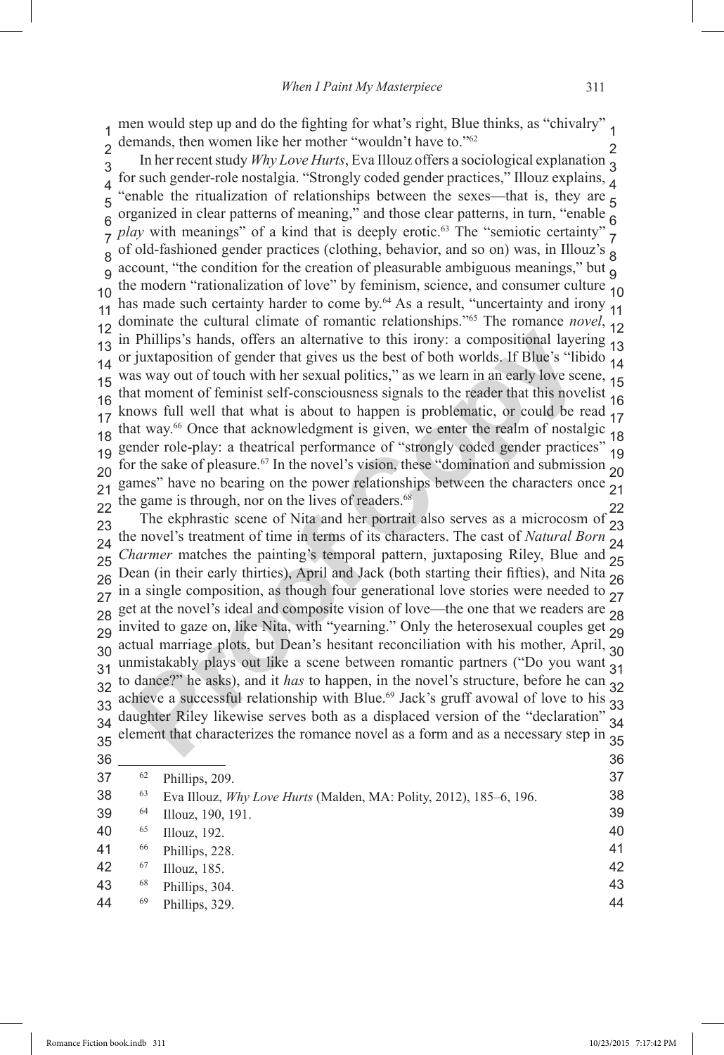men would step up and do the fighting for what's right, Blue thinks, as "chivalry" 1 demands, then women like her mother "wouldn't have to."62  $\mathcal{P}$  $\overline{2}$ 

 In her recent study *Why Love Hurts*, Eva Illouz offers a sociological explanation  $\overline{3}$ for such gender-role nostalgia. "Strongly coded gender practices," Illouz explains,  $\overline{\mathbf{A}}$ "enable the ritualization of relationships between the sexes—that is, they are  $\epsilon$ organized in clear patterns of meaning," and those clear patterns, in turn, "enable  $\frac{1}{6}$ play with meanings" of a kind that is deeply erotic.<sup>63</sup> The "semiotic certainty" of old-fashioned gender practices (clothing, behavior, and so on) was, in Illouz's account, "the condition for the creation of pleasurable ambiguous meanings," but  $\alpha$  $\overline{Q}$ the modern "rationalization of love" by feminism, science, and consumer culture  $\frac{1}{10}$  has made such certainty harder to come by.<sup>64</sup> As a result, "uncertainty and irony <sub>11</sub> dominate the cultural climate of romantic relationships."<sup>65</sup> The romance *novel*, 12 in Phillips's hands, offers an alternative to this irony: a compositional layering or juxtaposition of gender that gives us the best of both worlds. If Blue's "libido <sub>14</sub><br>or juxtaposition of gender that gives us the best of both worlds. If Blue's "libido <sub>14</sub> was way out of touch with her sexual politics," as we learn in an early love scene, 15 that moment of feminist self-consciousness signals to the reader that this novelist 16 knows full well that what is about to happen is problematic, or could be read that way.<sup>66</sup> Once that acknowledgment is given, we enter the realm of nostalgic 18 gender role-play: a theatrical performance of "strongly coded gender practices" 19 for the sake of pleasure.<sup>67</sup> In the novel's vision, these "domination and submission games" have no bearing on the power relationships between the characters once 21 the game is through, nor on the lives of readers.<sup>68</sup> 

Phillips's hands, offers an alternative to this irony: a compositional layerir juxtaposition of gender that gives us the best of both worlds. If Blue's "libias way out of touch with her sexual politics," as we learn in an The ekphrastic scene of Nita and her portrait also serves as a microcosm of  $_{23}$ the novel's treatment of time in terms of its characters. The cast of *Natural Born* 24 Dean (in their early thirties), April and Jack (both starting their fifties), and Nita 26 get at the novel's ideal and composite vision of love—the one that we readers are  $\frac{1}{28}$  actual marriage plots, but Dean's hesitant reconciliation with his mother, April, 30 unmistakably plays out like a scene between romantic partners ("Do you want 31 achieve a successful relationship with Blue.<sup>69</sup> Jack's gruff avowal of love to his 33 element that characterizes the romance novel as a form and as a necessary step in *Charmer* matches the painting's temporal pattern, juxtaposing Riley, Blue and in a single composition, as though four generational love stories were needed to  $\frac{1}{27}$ invited to gaze on, like Nita, with "yearning." Only the heterosexual couples get to dance?" he asks), and it *has* to happen, in the novel's structure, before he can daughter Riley likewise serves both as a displaced version of the "declaration"  $\frac{3}{34}$ 

| ັບບ |    |                                                                           | ◡◡ |
|-----|----|---------------------------------------------------------------------------|----|
| 37  | 62 | Phillips, 209.                                                            | 37 |
| 38  | 63 | Eva Illouz, <i>Why Love Hurts</i> (Malden, MA: Polity, 2012), 185–6, 196. | 38 |
| 39  | 64 | Illouz, 190, 191.                                                         | 39 |
| 40  | 65 | Illouz, $192$ .                                                           | 40 |
| 41  | 66 | Phillips, 228.                                                            | 41 |
| 42  | 67 | Illouz, $185$ .                                                           | 42 |
| 43  | 68 | Phillips, 304.                                                            | 43 |
| 44  | 69 | Phillips, 329.                                                            | 44 |
|     |    |                                                                           |    |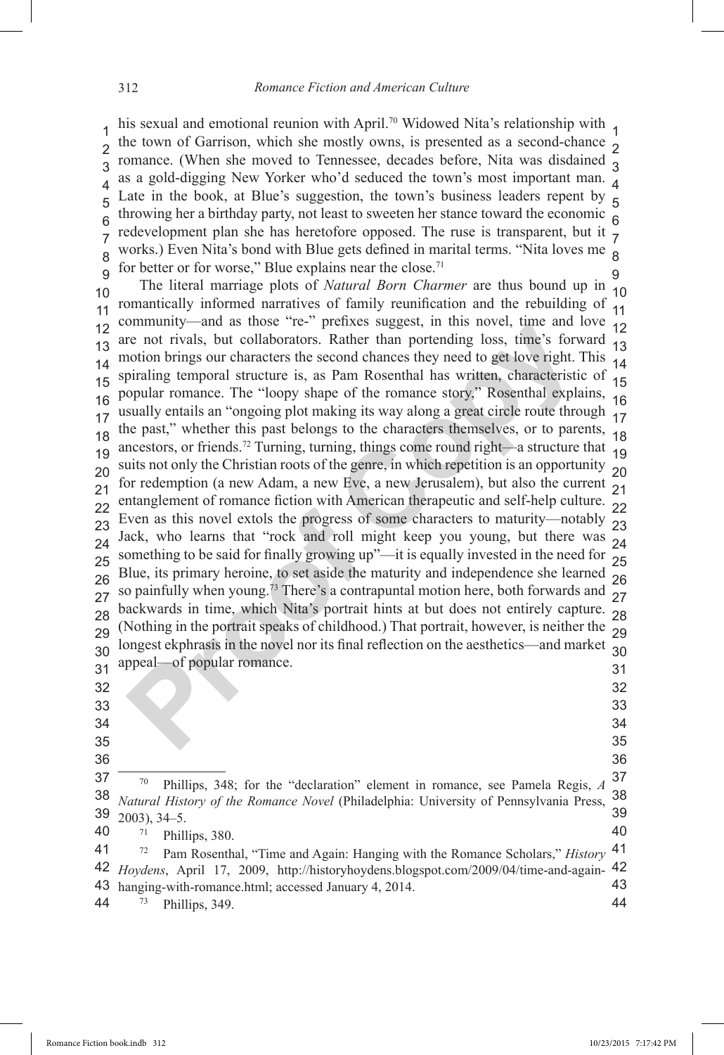$\overline{2}$   $\overline{Q}$ the town of Garrison, which she mostly owns, is presented as a second-chance  $\frac{1}{2}$  romance. (When she moved to Tennessee, decades before, Nita was disdained 3 as a gold-digging New Yorker who'd seduced the town's most important man. 4 Late in the book, at Blue's suggestion, the town's business leaders repent by  $\frac{1}{5}$ throwing her a birthday party, not least to sweeten her stance toward the economic 6 works.) Even Nita's bond with Blue gets defined in marital terms. "Nita loves me 8 his sexual and emotional reunion with April.<sup>70</sup> Widowed Nita's relationship with <sub>1</sub> redevelopment plan she has heretofore opposed. The ruse is transparent, but it  $\frac{1}{7}$ for better or for worse," Blue explains near the close.<sup>71</sup>

 9 The literal marriage plots of *Natural Born Charmer* are thus bound up in romantically informed narratives of family reunification and the rebuilding of 11 community—and as those "re-" prefixes suggest, in this novel, time and love 12 are not rivals, but collaborators. Rather than portending loss, time's forward 13 motion brings our characters the second chances they need to get love right. This 14 spiraling temporal structure is, as Pam Rosenthal has written, characteristic of 15 popular romance. The "loopy shape of the romance story," Rosenthal explains, 16 the past," whether this past belongs to the characters themselves, or to parents, 18 ancestors, or friends.<sup>72</sup> Turning, turning, things come round right—a structure that  $\frac{19}{19}$  for redemption (a new Adam, a new Eve, a new Jerusalem), but also the current  $\frac{1}{24}$  entanglement of romance fiction with American therapeutic and self-help culture. 22 Even as this novel extols the progress of some characters to maturity—notably  $_{23}$ Jack, who learns that "rock and roll might keep you young, but there was 24 Blue, its primary heroine, to set aside the maturity and independence she learned  $\frac{26}{26}$ so painfully when young.<sup>73</sup> There's a contrapuntal motion here, both forwards and 27 <br>(Nothing in the portrait speaks of childhood.) That portrait, however, is neither the  $\frac{1}{28}$  longest ekphrasis in the novel nor its final reflection on the aesthetics—and market  $\frac{30}{20}$  onmainly—and as uose Te-pientes suggest, in uns nove, the and to<br>prove the not rivals, but collaborators. Rather than porteding loss, time's forwato<br>notion brings our characters the second chances they need to get love rig usually entails an "ongoing plot making its way along a great circle route through suits not only the Christian roots of the genre, in which repetition is an opportunity  $\mathfrak{p}_0$ something to be said for finally growing up"—it is equally invested in the need for  $\frac{1}{25}$ backwards in time, which Nita's portrait hints at but does not entirely capture. appeal—of popular romance.

- hanging-with-romance.html; accessed January 4, 2014.
- Phillips, 349.

 41 Pam Rosenthal, "Time and Again: Hanging with the Romance Scholars," *History*  42 *Hoydens*, April 17, 2009, http://historyhoydens.blogspot.com/2009/04/time-and-again-Phillips, 348; for the "declaration" element in romance, see Pamela Regis, *A Natural History of the Romance Novel* (Philadelphia: University of Pennsylvania Press, 2003), 34–5. Phillips, 380.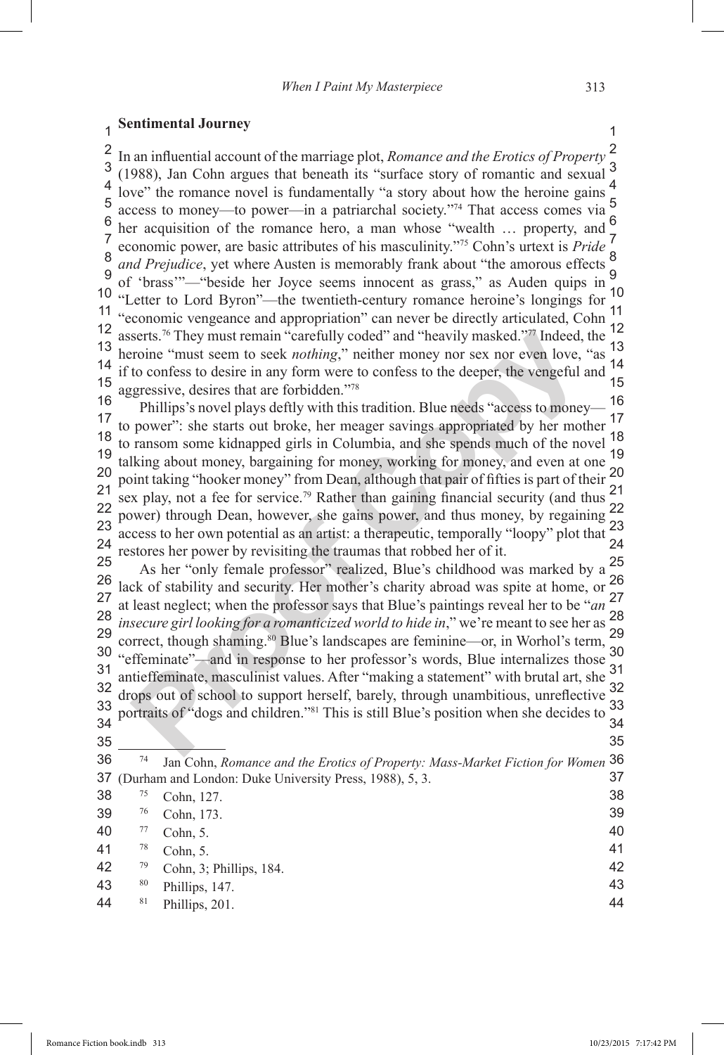#### **Sentimental Journey**  $\overline{1}$

  $\overline{2}$ In an influential account of the marriage plot, *Romance and the Erotics of Property* (1988), Jan Cohn argues that beneath its "surface story of romantic and sexual  $\overline{\mathbf{A}}$ love" the romance novel is fundamentally "a story about how the heroine gains access to money—to power—in a patriarchal society."<sup>74</sup> That access comes via her acquisition of the romance hero, a man whose "wealth ... property, and  $\frac{6}{5}$  $\overline{7}$ economic power, are basic attributes of his masculinity."75 Cohn's urtext is *Pride*   $\mathsf{R}$ *and Prejudice*, yet where Austen is memorably frank about "the amorous effects of 'brass'"—"beside her Joyce seems innocent as grass," as Auden quips in "Letter to Lord Byron"—the twentieth-century romance heroine's longings for "economic vengeance and appropriation" can never be directly articulated, Cohn asserts.<sup>76</sup> They must remain "carefully coded" and "heavily masked."77 Indeed, the heroine "must seem to seek *nothing*," neither money nor sex nor even love, "as if to confess to desire in any form were to confess to the deeper, the vengeful and aggressive, desires that are forbidden."78

 point taking "hooker money" from Dean, although that pair of fifties is part of their <sup>20</sup> sex play, not a fee for service.<sup>79</sup> Rather than gaining financial security (and thus  $\frac{21}{22}$  Phillips's novel plays deftly with this tradition. Blue needs "access to money to power": she starts out broke, her meager savings appropriated by her mother to ransom some kidnapped girls in Columbia, and she spends much of the novel talking about money, bargaining for money, working for money, and even at one power) through Dean, however, she gains power, and thus money, by regaining access to her own potential as an artist: a therapeutic, temporally "loopy" plot that restores her power by revisiting the traumas that robbed her of it.

serts.<sup>76</sup> They must remain "carefully coded" and "heavily masked."<sup>77</sup> Indeed, the<br>roine" "must seem to seek *nothing*," neither money nor sex nor even love, "aron'ess to desire in any form were to confess to the deeper, As her "only female professor" realized, Blue's childhood was marked by a lack of stability and security. Her mother's charity abroad was spite at home, or at least neglect; when the professor says that Blue's paintings reveal her to be "*an insecure girl looking for a romanticized world to hide in*," we're meant to see her as correct, though shaming.<sup>80</sup> Blue's landscapes are feminine—or, in Worhol's term, "effeminate"—and in response to her professor's words, Blue internalizes those antieffeminate, masculinist values. After "making a statement" with brutal art, she drops out of school to support herself, barely, through unambitious, unreflective portraits of "dogs and children."81 This is still Blue's position when she decides to

| 36  | 74 | Jan Cohn, Romance and the Erotics of Property: Mass-Market Fiction for Women 36 |    |
|-----|----|---------------------------------------------------------------------------------|----|
| -37 |    | (Durham and London: Duke University Press, 1988), 5, 3.                         | 37 |
| 38  | 75 | Cohn, 127.                                                                      | 38 |
| 39  | 76 | Cohn, 173.                                                                      | 39 |
| 40  | 77 | Cohn, 5.                                                                        | 40 |
| 41  | 78 | Cohn. 5.                                                                        | 41 |
| 42  | 79 | Cohn, 3; Phillips, 184.                                                         | 42 |
| 43  | 80 | Phillips, 147.                                                                  | 43 |
| 44  | 81 | Phillips, 201.                                                                  | 44 |
|     |    |                                                                                 |    |

 $\mathbf{1}$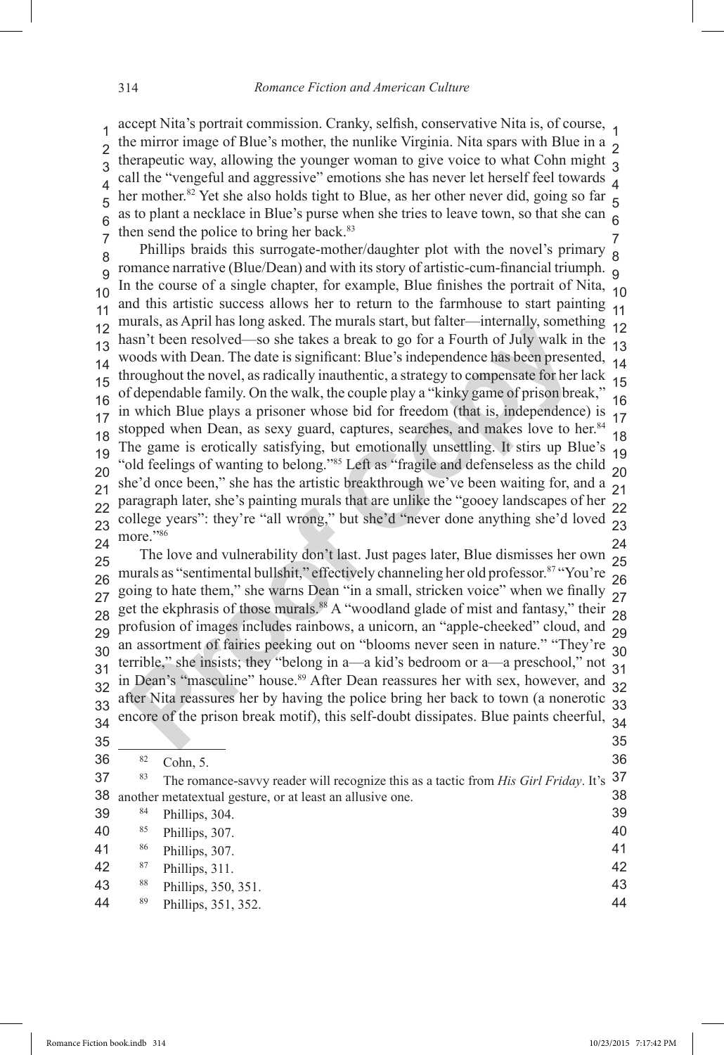$\overline{2}$  the mirror image of Blue's mother, the nunlike Virginia. Nita spars with Blue in a  $\frac{1}{2}$  therapeutic way, allowing the younger woman to give voice to what Cohn might 3 the mother.<sup>82</sup> Yet she also holds tight to Blue, as her other never did, going so far  $\frac{4}{5}$  as to plant a necklace in Blue's purse when she tries to leave town, so that she can  $\frac{1}{6}$  accept Nita's portrait commission. Cranky, selfish, conservative Nita is, of course, call the "vengeful and aggressive" emotions she has never let herself feel towards  $\frac{3}{4}$ then send the police to bring her back.<sup>83</sup>

  $\overline{Q}$  romance narrative (Blue/Dean) and with its story of artistic-cum-financial triumph. g and this artistic success allows her to return to the farmhouse to start painting 11 murals, as April has long asked. The murals start, but falter—internally, something 12 hasn't been resolved—so she takes a break to go for a Fourth of July walk in the 13 throughout the novel, as radically inauthentic, a strategy to compensate for her lack 15 of dependable family. On the walk, the couple play a "kinky game of prison break," 16 in which Blue plays a prisoner whose bid for freedom (that is, independence) is 17 "old feelings of wanting to belong."<sup>85</sup> Left as "fragile and defenseless as the child  $\frac{1}{20}$  she'd once been," she has the artistic breakthrough we've been waiting for, and a 21 paragraph later, she's painting murals that are unlike the "gooey landscapes of her 22 college years": they're "all wrong," but she'd "never done anything she'd loved 23 nuas), as Applinations, as Applinations, an action of the mean start, but antic—meterinary, sometime and then resolved—so she takes a break to go for a Fourth of July walk in those was the movel, as radically inauthentic, Phillips braids this surrogate-mother/daughter plot with the novel's primary In the course of a single chapter, for example, Blue finishes the portrait of Nita,  $\frac{1}{10}$ woods with Dean. The date is significant: Blue's independence has been presented,  $\frac{1}{14}$ stopped when Dean, as sexy guard, captures, searches, and makes love to her.<sup>84</sup> The game is erotically satisfying, but emotionally unsettling. It stirs up Blue's 19 more."86

 murals as "sentimental bullshit," effectively channeling her old professor. $87 \text{``You're}$  25 26<br>going to hate them," she warns Dean "in a small, stricken voice" when we finally get the ekphrasis of those murals.<sup>88</sup> A "woodland glade of mist and fantasy," their 28 an assortment of fairies peeking out on "blooms never seen in nature." "They're 30 in Dean's "masculine" house.<sup>89</sup> After Dean reassures her with sex, however, and  $\frac{31}{22}$  after Nita reassures her by having the police bring her back to town (a nonerotic 33 encore of the prison break motif), this self-doubt dissipates. Blue paints cheerful, 34 The love and vulnerability don't last. Just pages later, Blue dismisses her own  $\frac{1}{25}$ profusion of images includes rainbows, a unicorn, an "apple-cheeked" cloud, and terrible," she insists; they "belong in a—a kid's bedroom or a—a preschool," not  $\frac{1}{31}$ 

| 36<br>82<br>Cohn, 5.<br>37<br>The romance-savvy reader will recognize this as a tactic from His Girl Friday. It's 37<br>83<br>38<br>another metatextual gesture, or at least an allusive one.<br>39<br>84<br>Phillips, 304.<br>40<br>85<br>Phillips, 307.<br>41<br>86<br>Phillips, 307.<br>42<br>87<br>Phillips, 311.<br>43<br>88<br>Phillips, 350, 351.<br>44<br>89<br>Phillips, 351, 352. |  |    |
|---------------------------------------------------------------------------------------------------------------------------------------------------------------------------------------------------------------------------------------------------------------------------------------------------------------------------------------------------------------------------------------------|--|----|
|                                                                                                                                                                                                                                                                                                                                                                                             |  | 36 |
|                                                                                                                                                                                                                                                                                                                                                                                             |  |    |
|                                                                                                                                                                                                                                                                                                                                                                                             |  | 38 |
|                                                                                                                                                                                                                                                                                                                                                                                             |  | 39 |
|                                                                                                                                                                                                                                                                                                                                                                                             |  | 40 |
|                                                                                                                                                                                                                                                                                                                                                                                             |  | 41 |
|                                                                                                                                                                                                                                                                                                                                                                                             |  | 42 |
|                                                                                                                                                                                                                                                                                                                                                                                             |  | 43 |
|                                                                                                                                                                                                                                                                                                                                                                                             |  | 44 |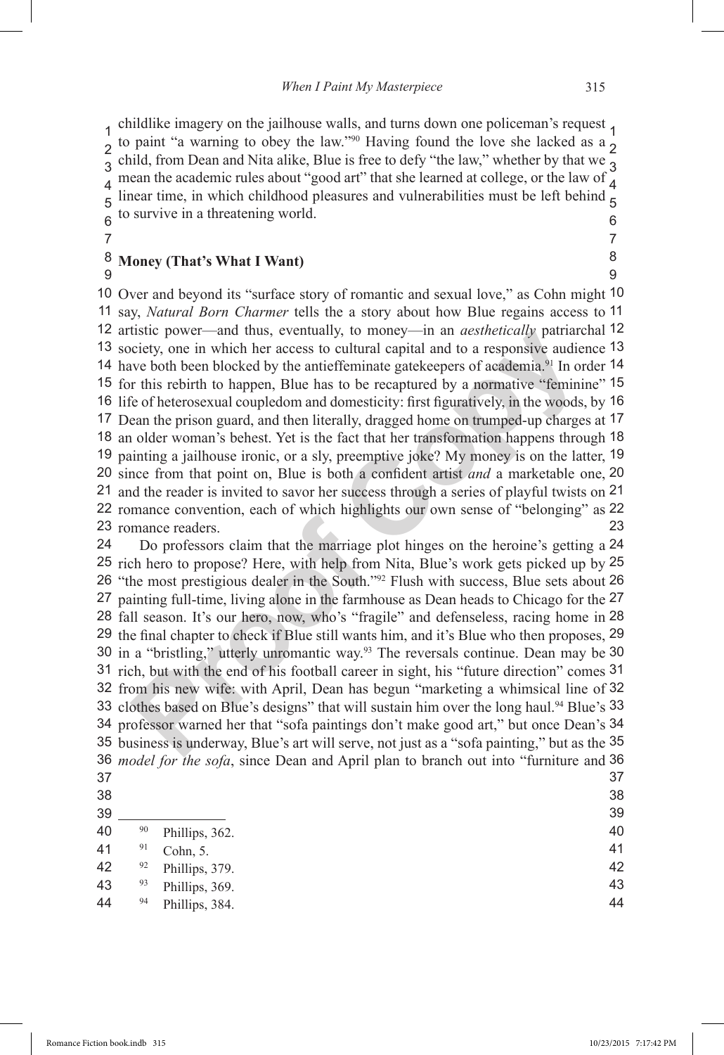# *When I Paint My Masterpiece* 315

childlike imagery on the jailhouse walls, and turns down one policeman's request  $\lambda$  to paint "a warning to obey the law."<sup>90</sup> Having found the love she lacked as  $a_2$  $\mathcal{L}$ child, from Dean and Nita alike, Blue is free to defy "the law," whether by that we  $\mathbf{z}$ mean the academic rules about "good art" that she learned at college, or the law of  $\overline{A}$  $\overline{\mathbf{A}}$ linear time, in which childhood pleasures and vulnerabilities must be left behind  $\frac{1}{5}$ to survive in a threatening world. 

 $\overline{7}$ 

## **Money (That's What I Want)**

 10 Over and beyond its "surface story of romantic and sexual love," as Cohn might 11 say, *Natural Born Charmer* tells the a story about how Blue regains access to 12 artistic power—and thus, eventually, to money—in an *aesthetically* patriarchal 13 society, one in which her access to cultural capital and to a responsive audience 13 14 have both been blocked by the antieffeminate gatekeepers of academia.<sup>91</sup> In order 14 15 for this rebirth to happen, Blue has to be recaptured by a normative "feminine" 16 life of heterosexual coupledom and domesticity: first figuratively, in the woods, by 17 Dean the prison guard, and then literally, dragged home on trumped-up charges at 18 an older woman's behest. Yet is the fact that her transformation happens through 18 19 painting a jailhouse ironic, or a sly, preemptive joke? My money is on the latter, 20 since from that point on, Blue is both a confident artist *and* a marketable one, 21 and the reader is invited to savor her success through a series of playful twists on 22 romance convention, each of which highlights our own sense of "belonging" as romance readers. 

ust power—and may, eventually, to money—in an *aesynetically* partiactive, one in which her access to cultural capital and to a responsive audience in this rebirth to happen, Blue has to be recaptured by a normative "femin 25 rich hero to propose? Here, with help from Nita, Blue's work gets picked up by 26 "the most prestigious dealer in the South."<sup>92</sup> Flush with success, Blue sets about 26 27 painting full-time, living alone in the farmhouse as Dean heads to Chicago for the 28 fall season. It's our hero, now, who's "fragile" and defenseless, racing home in 29 the final chapter to check if Blue still wants him, and it's Blue who then proposes, 30 in a "bristling," utterly unromantic way.<sup>93</sup> The reversals continue. Dean may be 30 31 rich, but with the end of his football career in sight, his "future direction" comes 32 from his new wife: with April, Dean has begun "marketing a whimsical line of 33 clothes based on Blue's designs" that will sustain him over the long haul.<sup>94</sup> Blue's 33 34 professor warned her that "sofa paintings don't make good art," but once Dean's 35 business is underway, Blue's art will serve, not just as a "sofa painting," but as the 36 *model for the sofa*, since Dean and April plan to branch out into "furniture and Do professors claim that the marriage plot hinges on the heroine's getting a 24 

| 39 |    |                | 39 |
|----|----|----------------|----|
| 40 | 90 | Phillips, 362. | 40 |
| 41 | 91 | Cohn, 5.       | 41 |
| 42 | 92 | Phillips, 379. | 42 |
| 43 | 93 | Phillips, 369. | 43 |
| 44 | 94 | Phillips, 384. | 44 |

 $\overline{7}$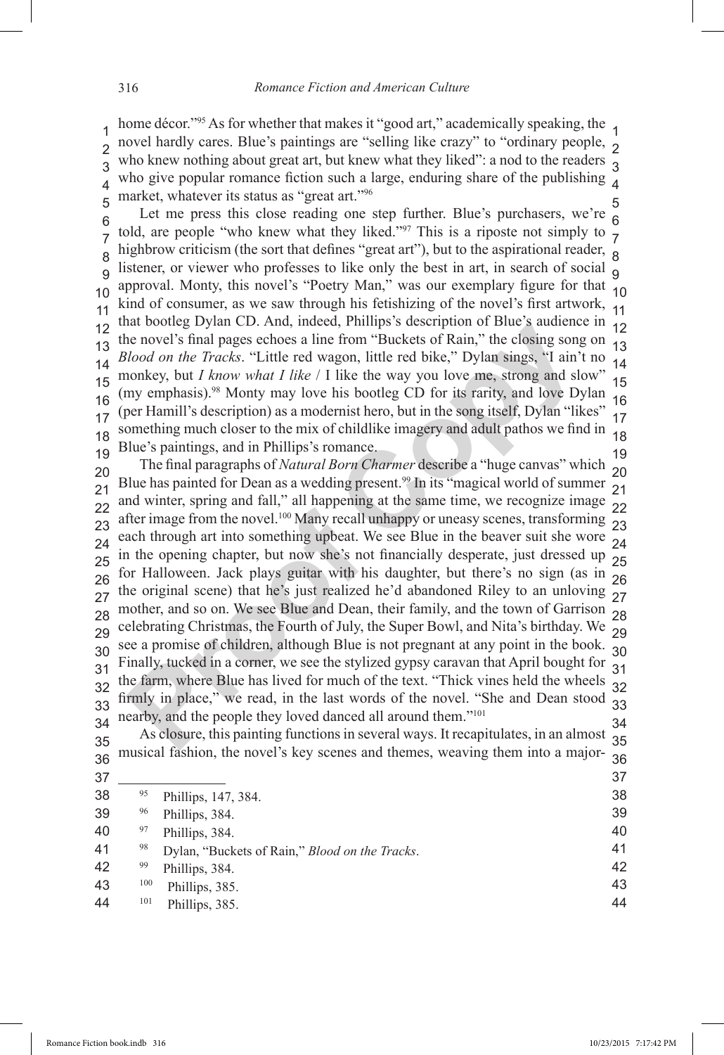$\overline{2}$  home décor."<sup>95</sup>As for whether that makes it "good art," academically speaking, the who knew nothing about great art, but knew what they liked": a nod to the readers 3 who give popular romance fiction such a large, enduring share of the publishing  $\frac{1}{4}$ novel hardly cares. Blue's paintings are "selling like crazy" to "ordinary people, market, whatever its status as "great art."<sup>96</sup>

  $\overline{Q}$  Let me press this close reading one step further. Blue's purchasers, we're  $\frac{5}{6}$ told, are people "who knew what they liked."<sup>97</sup> This is a riposte not simply to  $\frac{6}{7}$  highbrow criticism (the sort that defines "great art"), but to the aspirational reader, and the social property of the social property of the social property of the social property of the social property of the social prop listener, or viewer who professes to like only the best in art, in search of social  $\frac{1}{9}$  kind of consumer, as we saw through his fetishizing of the novel's first artwork,  $\frac{11}{11}$ that bootleg Dylan CD. And, indeed, Phillips's description of Blue's audience in 12 *Blood on the Tracks*. "Little red wagon, little red bike," Dylan sings, "I ain't no 14 (my emphasis).<sup>98</sup> Monty may love his bootleg CD for its rarity, and love Dylan  $_{16}$  something much closer to the mix of childlike imagery and adult pathos we find in 18 approval. Monty, this novel's "Poetry Man," was our exemplary figure for that  $\frac{1}{10}$ the novel's final pages echoes a line from "Buckets of Rain," the closing song on  $\frac{1}{13}$ monkey, but *I know what I like* / I like the way you love me, strong and slow" (per Hamill's description) as a modernist hero, but in the song itself, Dylan "likes" Blue's paintings, and in Phillips's romance.

 20<br>Blue has painted for Dean as a wedding present.<sup>99</sup> In its "magical world of summer and winter, spring and fall," all happening at the same time, we recognize image 22 after image from the novel.<sup>100</sup> Many recall unhappy or uneasy scenes, transforming  $\frac{2}{23}$ each through art into something upbeat. We see Blue in the beaver suit she wore 24 in the opening chapter, but now she's not financially desperate, just dressed up 25 for Halloween. Jack plays guitar with his daughter, but there's no sign (as in  $\frac{1}{26}$ ) the original scene) that he's just realized he'd abandoned Riley to an unloving 27 mother, and so on. We see Blue and Dean, their family, and the town of Garrison 28 celebrating Christmas, the Fourth of July, the Super Bowl, and Nita's birthday. We 29 see a promise of children, although Blue is not pregnant at any point in the book. 30 Finally, tucked in a corner, we see the stylized gypsy caravan that April bought for 31 firmly in place," we read, in the last words of the novel. "She and Dean stood  $\frac{3}{3}$  at oboute Dy Mar CD. And, intelect, 1<sup>nmps</sup> seaschpinon of Direct and once a dimention of Direct and and on the *Tracks*. "Little red wagon, little red bike," Dylan sings, "I ain't onkey, but *I know what I like* / I like The final paragraphs of *Natural Born Charmer* describe a "huge canvas" which the farm, where Blue has lived for much of the text. "Thick vines held the wheels nearby, and the people they loved danced all around them."101

 musical fashion, the novel's key scenes and themes, weaving them into a major-  $\frac{36}{9}$  As closure, this painting functions in several ways. It recapitulates, in an almost 35

| 38 | 95  | Phillips, 147, 384.                            | 38 |
|----|-----|------------------------------------------------|----|
| 39 | 96  | Phillips, 384.                                 | 39 |
| 40 | 97  | Phillips, 384.                                 | 40 |
| 41 | 98  | Dylan, "Buckets of Rain," Blood on the Tracks. | 41 |
| 42 | 99  | Phillips, 384.                                 | 42 |
| 43 | 100 | Phillips, 385.                                 | 43 |
| 44 | 101 | Phillips, 385.                                 | 44 |
|    |     |                                                |    |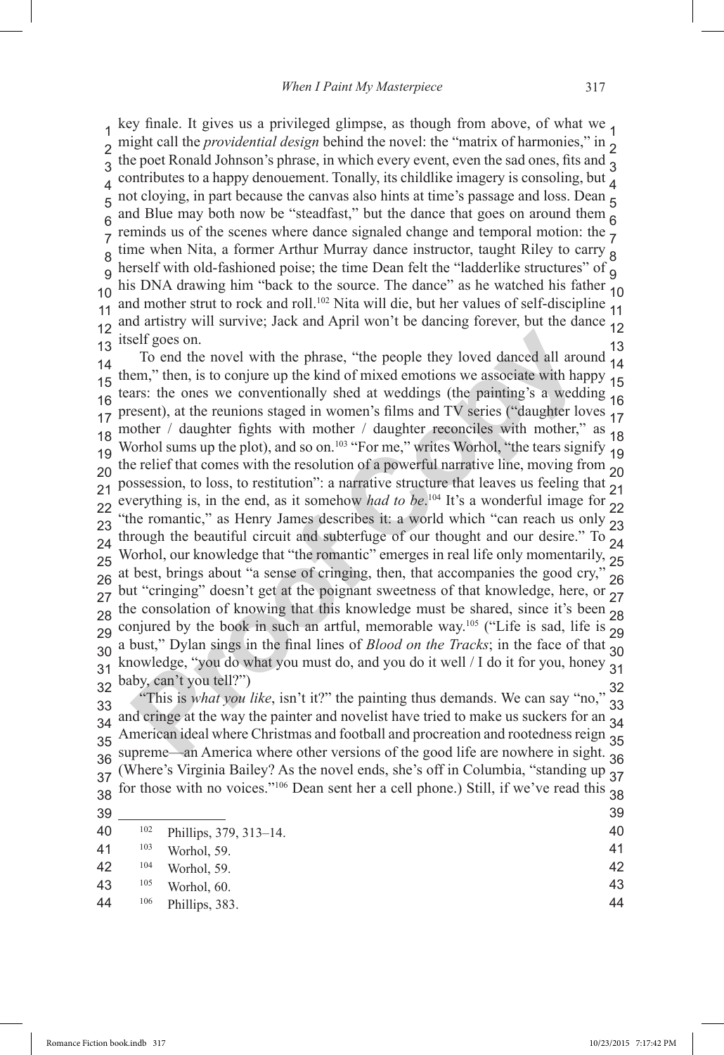123456789 key finale. It gives us a privileged glimpse, as though from above, of what we might call the *providential design* behind the novel: the "matrix of harmonies," in the poet Ronald Johnson's phrase, in which every event, even the sad ones, fits and contributes to a happy denouement. Tonally, its childlike imagery is consoling, but not cloying, in part because the canvas also hints at time's passage and loss. Dean  $_{\rm g}$ and Blue may both now be "steadfast," but the dance that goes on around them  $\frac{1}{6}$ reminds us of the scenes where dance signaled change and temporal motion: the  $\frac{1}{7}$ time when Nita, a former Arthur Murray dance instructor, taught Riley to carry herself with old-fashioned poise; the time Dean felt the "ladderlike structures" of

123456789  $\overline{Q}$ his DNA drawing him "back to the source. The dance" as he watched his father 10 and mother strut to rock and roll.<sup>102</sup> Nita will die, but her values of self-discipline <sub>11</sub> and 11 11 and artistry will survive; Jack and April won't be dancing forever, but the dance 12 12 itself goes on. 13 13

self goes on.<br>
To end the novel with the phrase, "the people they loved danced all aroum," then, is to conjure up the kind of mixed emotions we associate with happen; then is to conjure up the kind of mixed emotions we as 14 15 16 17 18 19 20 21 22 23 24 25 26 27 28 29 30 31 32 To end the novel with the phrase, "the people they loved danced all around 14 them," then, is to conjure up the kind of mixed emotions we associate with happy 15 tears: the ones we conventionally shed at weddings (the painting's a wedding 16 17 mother / daughter fights with mother / daughter reconciles with mother," as  $18$ Worhol sums up the plot), and so on.<sup>103</sup> "For me," writes Worhol, "the tears signify  $\frac{1}{19}$ the relief that comes with the resolution of a powerful narrative line, moving from 20 21 everything is, in the end, as it somehow *had to be*.<sup>104</sup> It's a wonderful image for 22 "the romantic," as Henry James describes it: a world which "can reach us only 23" 24 Worhol, our knowledge that "the romantic" emerges in real life only momentarily, 25 at best, brings about "a sense of cringing, then, that accompanies the good cry," 26 27 the consolation of knowing that this knowledge must be shared, since it's been 28 29 a bust," Dylan sings in the final lines of *Blood on the Tracks*; in the face of that  $\frac{30}{30}$ knowledge, "you do what you must do, and you do it well / I do it for you, honey 31 32 present), at the reunions staged in women's films and TV series ("daughter loves  $17$ possession, to loss, to restitution": a narrative structure that leaves us feeling that  $\frac{1}{21}$ through the beautiful circuit and subterfuge of our thought and our desire." To but "cringing" doesn't get at the poignant sweetness of that knowledge, here, or  $\frac{1}{27}$ conjured by the book in such an artful, memorable way.<sup>105</sup> ("Life is sad, life is  $\frac{1}{29}$ baby, can't you tell?")

33 34 35 36 37 38 39 33 and cringe at the way the painter and novelist have tried to make us suckers for an  $\frac{1}{34}$ and cringe at the way the painter and novelist have tried to make us suckers for an 34<br>American ideal where Christmas and football and procreation and rootedness reign 35 supreme—an America where other versions of the good life are nowhere in sight. 36 (Where's Virginia Bailey? As the novel ends, she's off in Columbia, "standing up 37 for those with no voices."<sup>106</sup> Dean sent her a cell phone.) Still, if we've read this  $\frac{38}{36}$ 39 "This is *what you like*, isn't it?" the painting thus demands. We can say "no,"

- 43 43 44 <sup>105</sup> Worhol, 60.
- 44 <sup>106</sup> Phillips, 383.

 $\overline{2}$  $\overline{3}$  $\overline{\mathbf{A}}$ 5 6  $\overline{7}$  $\mathsf{R}$ 

<sup>40</sup> 41 42 40 41 42 102 Phillips, 379, 313–14. <sup>103</sup> Worhol, 59. <sup>104</sup> Worhol, 59.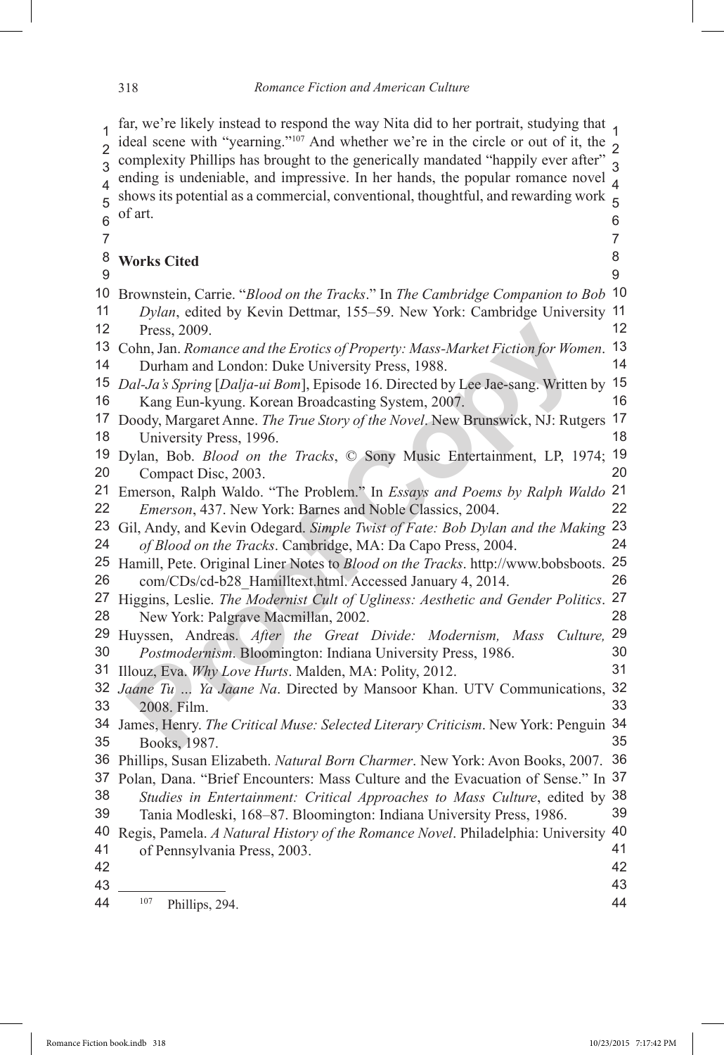| 1<br>$\overline{2}$<br>3<br>4<br>5<br>6<br>7 | far, we're likely instead to respond the way Nita did to her portrait, studying that 1<br>ideal scene with "yearning." <sup>107</sup> And whether we're in the circle or out of it, the 2<br>complexity Phillips has brought to the generically mandated "happily ever after"<br>ending is undeniable, and impressive. In her hands, the popular romance novel<br>shows its potential as a commercial, conventional, thoughtful, and rewarding work<br>of art. | $\overline{3}$<br>4<br>5<br>6<br>7 |
|----------------------------------------------|----------------------------------------------------------------------------------------------------------------------------------------------------------------------------------------------------------------------------------------------------------------------------------------------------------------------------------------------------------------------------------------------------------------------------------------------------------------|------------------------------------|
| 8<br>9                                       | <b>Works Cited</b>                                                                                                                                                                                                                                                                                                                                                                                                                                             | 8<br>9                             |
| 10                                           | Brownstein, Carrie. "Blood on the Tracks." In The Cambridge Companion to Bob                                                                                                                                                                                                                                                                                                                                                                                   | 10                                 |
| 11                                           | Dylan, edited by Kevin Dettmar, 155–59. New York: Cambridge University                                                                                                                                                                                                                                                                                                                                                                                         | 11                                 |
| 12                                           | Press, 2009.                                                                                                                                                                                                                                                                                                                                                                                                                                                   | 12                                 |
| 13                                           | Cohn, Jan. Romance and the Erotics of Property: Mass-Market Fiction for Women.                                                                                                                                                                                                                                                                                                                                                                                 | 13                                 |
| 14                                           | Durham and London: Duke University Press, 1988.                                                                                                                                                                                                                                                                                                                                                                                                                | 14                                 |
| 15                                           | Dal-Ja's Spring [Dalja-ui Bom], Episode 16. Directed by Lee Jae-sang. Written by                                                                                                                                                                                                                                                                                                                                                                               | 15                                 |
| 16                                           | Kang Eun-kyung. Korean Broadcasting System, 2007.                                                                                                                                                                                                                                                                                                                                                                                                              | 16                                 |
| 17                                           | Doody, Margaret Anne. The True Story of the Novel. New Brunswick, NJ: Rutgers                                                                                                                                                                                                                                                                                                                                                                                  | 17                                 |
| 18<br>19                                     | University Press, 1996.                                                                                                                                                                                                                                                                                                                                                                                                                                        | 18<br>19                           |
| 20                                           | Dylan, Bob. Blood on the Tracks, © Sony Music Entertainment, LP, 1974;<br>Compact Disc, 2003.                                                                                                                                                                                                                                                                                                                                                                  | 20                                 |
| 21                                           | Emerson, Ralph Waldo. "The Problem." In Essays and Poems by Ralph Waldo 21                                                                                                                                                                                                                                                                                                                                                                                     |                                    |
| 22                                           | Emerson, 437. New York: Barnes and Noble Classics, 2004.                                                                                                                                                                                                                                                                                                                                                                                                       | 22                                 |
| 23                                           | Gil, Andy, and Kevin Odegard. Simple Twist of Fate: Bob Dylan and the Making 23                                                                                                                                                                                                                                                                                                                                                                                |                                    |
| 24                                           | of Blood on the Tracks. Cambridge, MA: Da Capo Press, 2004.                                                                                                                                                                                                                                                                                                                                                                                                    | 24                                 |
| 25                                           | Hamill, Pete. Original Liner Notes to Blood on the Tracks. http://www.bobsboots. 25                                                                                                                                                                                                                                                                                                                                                                            |                                    |
| 26                                           | com/CDs/cd-b28 Hamilltext.html. Accessed January 4, 2014.                                                                                                                                                                                                                                                                                                                                                                                                      | 26                                 |
| 27                                           | Higgins, Leslie. The Modernist Cult of Ugliness: Aesthetic and Gender Politics. 27                                                                                                                                                                                                                                                                                                                                                                             |                                    |
| 28                                           | New York: Palgrave Macmillan, 2002.                                                                                                                                                                                                                                                                                                                                                                                                                            | 28                                 |
| 29                                           | Huyssen, Andreas. After the Great Divide: Modernism,<br>Mass<br>Culture,                                                                                                                                                                                                                                                                                                                                                                                       | 29<br>30                           |
| 30                                           | Postmodernism. Bloomington: Indiana University Press, 1986.                                                                                                                                                                                                                                                                                                                                                                                                    | 31                                 |
| 31<br>32                                     | Illouz, Eva. Why Love Hurts. Malden, MA: Polity, 2012.<br>Jaane Tu  Ya Jaane Na. Directed by Mansoor Khan. UTV Communications, 32                                                                                                                                                                                                                                                                                                                              |                                    |
| 33                                           | 2008. Film.                                                                                                                                                                                                                                                                                                                                                                                                                                                    | 33                                 |
| 34                                           | James, Henry. The Critical Muse: Selected Literary Criticism. New York: Penguin 34                                                                                                                                                                                                                                                                                                                                                                             |                                    |
| 35                                           | Books, 1987.                                                                                                                                                                                                                                                                                                                                                                                                                                                   | 35                                 |
|                                              | 36 Phillips, Susan Elizabeth. Natural Born Charmer. New York: Avon Books, 2007.                                                                                                                                                                                                                                                                                                                                                                                | 36                                 |
|                                              | 37 Polan, Dana. "Brief Encounters: Mass Culture and the Evacuation of Sense." In 37                                                                                                                                                                                                                                                                                                                                                                            |                                    |
| 38                                           | Studies in Entertainment: Critical Approaches to Mass Culture, edited by 38                                                                                                                                                                                                                                                                                                                                                                                    |                                    |
| 39                                           | Tania Modleski, 168-87. Bloomington: Indiana University Press, 1986.                                                                                                                                                                                                                                                                                                                                                                                           | 39                                 |
| 40                                           | Regis, Pamela. A Natural History of the Romance Novel. Philadelphia: University                                                                                                                                                                                                                                                                                                                                                                                | 40                                 |
| 41                                           | of Pennsylvania Press, 2003.                                                                                                                                                                                                                                                                                                                                                                                                                                   | 41                                 |
| 42<br>43                                     |                                                                                                                                                                                                                                                                                                                                                                                                                                                                | 42<br>43                           |
| 44                                           | 107<br>Phillips, 294.                                                                                                                                                                                                                                                                                                                                                                                                                                          | 44                                 |
|                                              |                                                                                                                                                                                                                                                                                                                                                                                                                                                                |                                    |